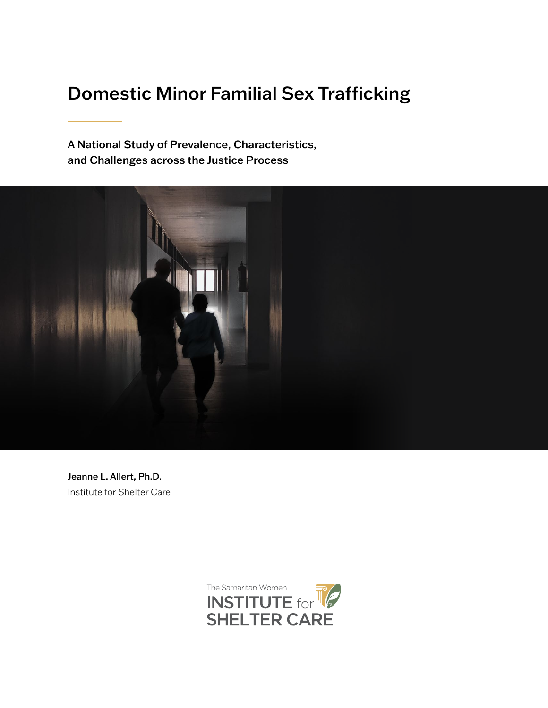# Domestic Minor Familial Sex Trafficking

A National Study of Prevalence, Characteristics, and Challenges across the Justice Process



Jeanne L. Allert, Ph.D. Institute for Shelter Care

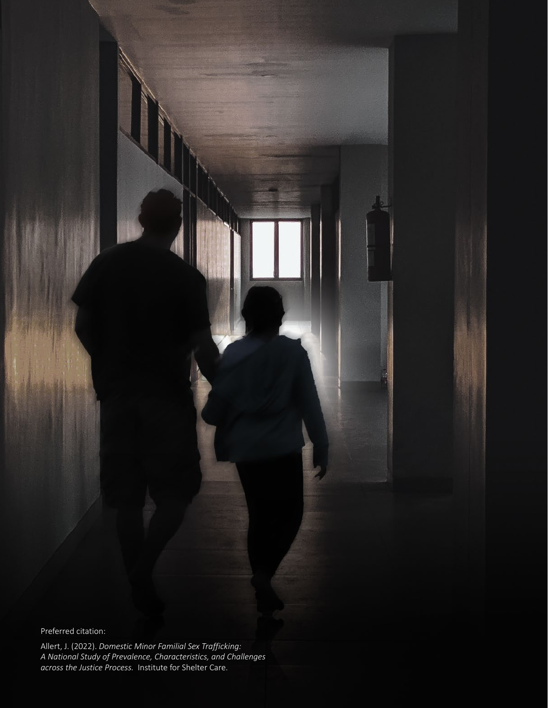Preferred citation:

Allert, J. (2022). *Domestic Minor Familial Sex Trafficking: A National Study of Prevalence, Characteristics, and Challenges across the Justice Process.* Institute for Shelter Care.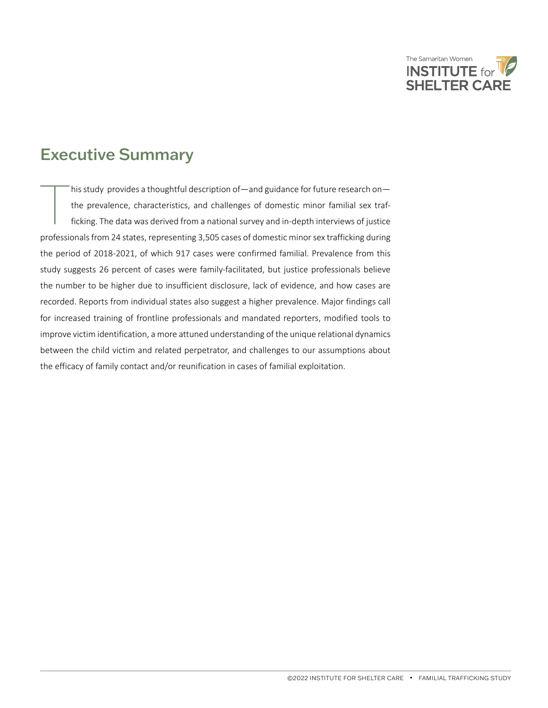

# Executive Summary

his study provides a thoughtful description of—and guidance for future research on the prevalence, characteristics, and challenges of domestic minor familial sex trafficking. The data was derived from a national survey and in-depth interviews of justice professionals from 24 states, representing 3,505 cases of domestic minor sex trafficking during the period of 2018-2021, of which 917 cases were confirmed familial. Prevalence from this study suggests 26 percent of cases were family-facilitated, but justice professionals believe the number to be higher due to insufficient disclosure, lack of evidence, and how cases are recorded. Reports from individual states also suggest a higher prevalence. Major findings call for increased training of frontline professionals and mandated reporters, modified tools to improve victim identification, a more attuned understanding of the unique relational dynamics between the child victim and related perpetrator, and challenges to our assumptions about the efficacy of family contact and/or reunification in cases of familial exploitation.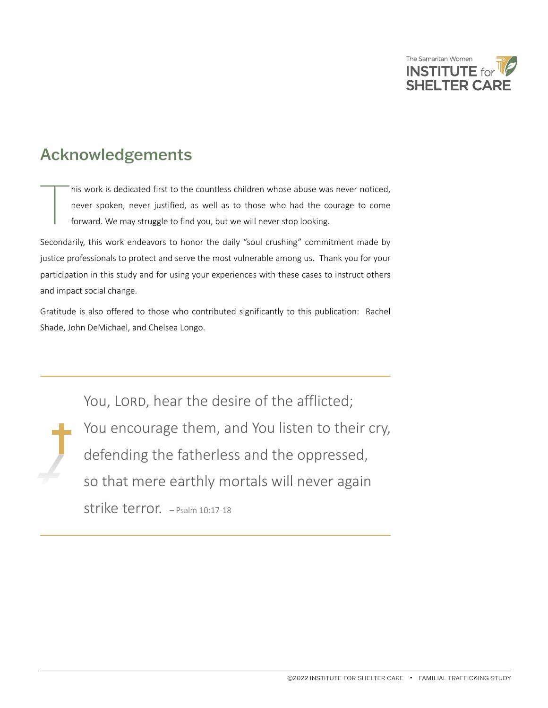

# Acknowledgements

his work is dedicated first to the countless children whose abuse was never noticed, never spoken, never justified, as well as to those who had the courage to come forward. We may struggle to find you, but we will never stop looking.

Secondarily, this work endeavors to honor the daily "soul crushing" commitment made by justice professionals to protect and serve the most vulnerable among us. Thank you for your participation in this study and for using your experiences with these cases to instruct others and impact social change.

Gratitude is also offered to those who contributed significantly to this publication: Rachel Shade, John DeMichael, and Chelsea Longo.

> You, LORD, hear the desire of the afflicted; You encourage them, and You listen to their cry, defending the fatherless and the oppressed, so that mere earthly mortals will never again strike terror. - Psalm 10:17-18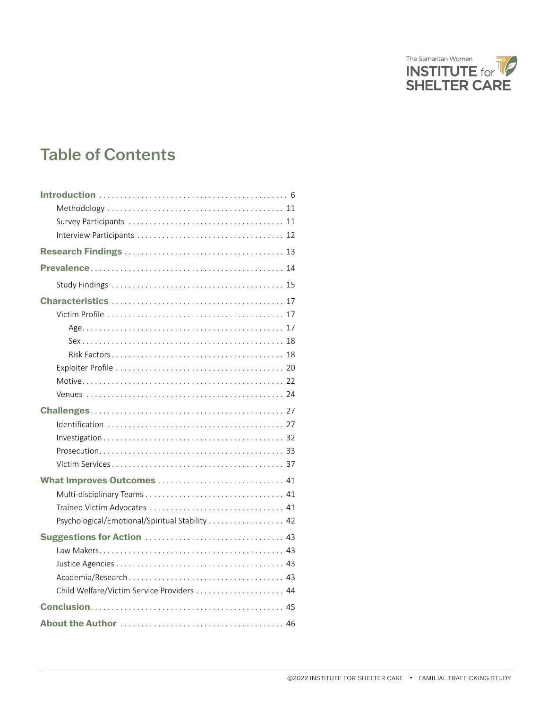

# Table of Contents

| What Improves Outcomes  41                     |
|------------------------------------------------|
|                                                |
|                                                |
| Psychological/Emotional/Spiritual Stability 42 |
|                                                |
|                                                |
|                                                |
|                                                |
|                                                |
|                                                |
|                                                |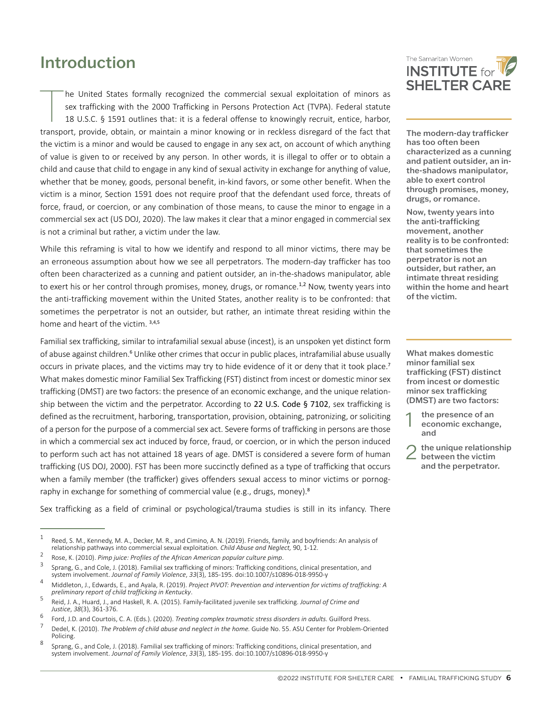# <span id="page-5-0"></span>Introduction

The United States formally recognized the commercial sexual exploitation of minors as<br>sex trafficking with the 2000 Trafficking in Persons Protection Act (TVPA). Federal statute<br>18 U.S.C. § 1591 outlines that: it is a fede sex trafficking with the 2000 Trafficking in Persons Protection Act (TVPA). Federal statute 18 U.S.C. § 1591 outlines that: it is a federal offense to knowingly recruit, entice, harbor, transport, provide, obtain, or maintain a minor knowing or in reckless disregard of the fact that the victim is a minor and would be caused to engage in any sex act, on account of which anything of value is given to or received by any person. In other words, it is illegal to offer or to obtain a child and cause that child to engage in any kind of sexual activity in exchange for anything of value, whether that be money, goods, personal benefit, in-kind favors, or some other benefit. When the victim is a minor, Section 1591 does not require proof that the defendant used force, threats of force, fraud, or coercion, or any combination of those means, to cause the minor to engage in a commercial sex act (US DOJ, 2020). The law makes it clear that a minor engaged in commercial sex is not a criminal but rather, a victim under the law.

While this reframing is vital to how we identify and respond to all minor victims, there may be an erroneous assumption about how we see all perpetrators. The modern-day trafficker has too often been characterized as a cunning and patient outsider, an in-the-shadows manipulator, able to exert his or her control through promises, money, drugs, or romance.<sup>1,2</sup> Now, twenty years into the anti-trafficking movement within the United States, another reality is to be confronted: that sometimes the perpetrator is not an outsider, but rather, an intimate threat residing within the home and heart of the victim. 3,4,5

Familial sex trafficking, similar to intrafamilial sexual abuse (incest), is an unspoken yet distinct form of abuse against children.<sup>6</sup> Unlike other crimes that occur in public places, intrafamilial abuse usually occurs in private places, and the victims may try to hide evidence of it or deny that it took place.<sup>7</sup> What makes domestic minor Familial Sex Trafficking (FST) distinct from incest or domestic minor sex trafficking (DMST) are two factors: the presence of an economic exchange, and the unique relation-ship between the victim and the perpetrator. According to [22 U.S. Code § 7102](https://www.law.cornell.edu/uscode/text/22/7102), sex trafficking is defined as the recruitment, harboring, transportation, provision, obtaining, patronizing, or soliciting of a person for the purpose of a commercial sex act. Severe forms of trafficking in persons are those in which a commercial sex act induced by force, fraud, or coercion, or in which the person induced to perform such act has not attained 18 years of age. DMST is considered a severe form of human trafficking (US DOJ, 2000). FST has been more succinctly defined as a type of trafficking that occurs when a family member (the trafficker) gives offenders sexual access to minor victims or pornography in exchange for something of commercial value (e.g., drugs, money).<sup>8</sup>

Sex trafficking as a field of criminal or psychological/trauma studies is still in its infancy. There

Rose, K. (2010). Pimp juice: Profiles of the African American popular culture pimp.<br>3 Sprang, G., and Cole, J. (2018). Familial sex trafficking of minors: Trafficking conditions, clinical presentation, and<br>5 system involve

Anidaleton, J., Edwards, E., and Ayala, R. (2019). Project PIVOT: Prevention and intervention for victims of trafficking: A<br>preliminary report of child trafficking in Kentucky.

*preliminary report of child trafficking in Kentucky*. <sup>5</sup> Reid, J. A., Huard, J., and Haskell, R. A. (2015). Family-facilitated juvenile sex trafficking. *Journal of Crime and Justice*, *38*(3), 361-376.

<sup>6</sup> Ford, J.D. and Courtois, C. A. (Eds.). (2020). *Treating complex traumatic stress disorders in adults.* Guilford Press.<br><sup>7</sup> Dedel, K. (2010). *The Problem of child abuse and neglect in the home.* Guide No. 55. ASU Cen



The modern-day trafficker has too often been characterized as a cunning and patient outsider, an inthe-shadows manipulator, able to exert control through promises, money, drugs, or romance.

Now, twenty years into the anti-trafficking movement, another reality is to be confronted: that sometimes the perpetrator is not an outsider, but rather, an intimate threat residing within the home and heart of the victim.

What makes domestic minor familial sex trafficking (FST) distinct from incest or domestic minor sex trafficking (DMST) are two factors:

1 the presence of an economic exchange, and

2 the unique relationship between the victim and the perpetrator.

<sup>1</sup> Reed, S. M., Kennedy, M. A., Decker, M. R., and Cimino, A. N. (2019). Friends, family, and boyfriends: An analysis of relationship pathways into commercial sexual exploitation. Child Abuse and Neglect, 90, 1-12.

Policing.

<sup>8</sup> Sprang, G., and Cole, J. (2018). Familial sex trafficking of minors: Trafficking conditions, clinical presentation, and system involvement. *Journal of Family Violence*, *33*(3), 185-195. doi:10.1007/s10896-018-9950-y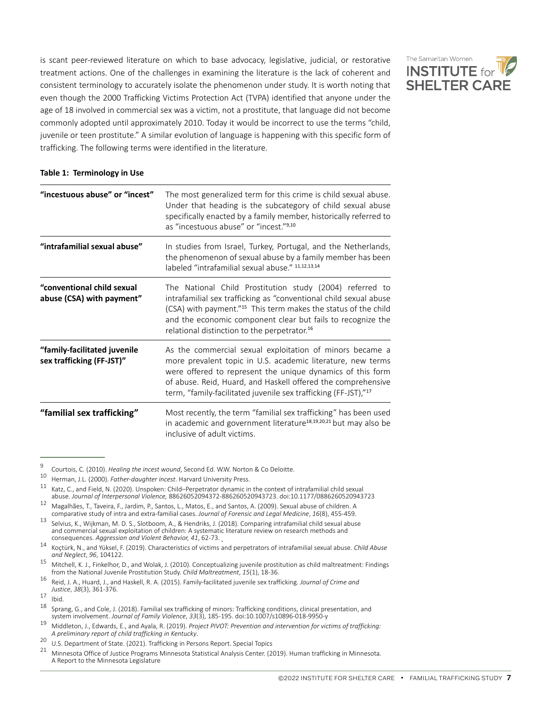is scant peer-reviewed literature on which to base advocacy, legislative, judicial, or restorative treatment actions. One of the challenges in examining the literature is the lack of coherent and consistent terminology to accurately isolate the phenomenon under study. It is worth noting that even though the 2000 Trafficking Victims Protection Act (TVPA) identified that anyone under the age of 18 involved in commercial sex was a victim, not a prostitute, that language did not become commonly adopted until approximately 2010. Today it would be incorrect to use the terms "child, juvenile or teen prostitute." A similar evolution of language is happening with this specific form of trafficking. The following terms were identified in the literature.



### **Table 1: Terminology in Use**

| "incestuous abuse" or "incest"                            | The most generalized term for this crime is child sexual abuse.<br>Under that heading is the subcategory of child sexual abuse<br>specifically enacted by a family member, historically referred to<br>as "incestuous abuse" or "incest."9,10                                                                                          |  |
|-----------------------------------------------------------|----------------------------------------------------------------------------------------------------------------------------------------------------------------------------------------------------------------------------------------------------------------------------------------------------------------------------------------|--|
| "intrafamilial sexual abuse"                              | In studies from Israel, Turkey, Portugal, and the Netherlands,<br>the phenomenon of sexual abuse by a family member has been<br>labeled "intrafamilial sexual abuse." 11,12,13,14                                                                                                                                                      |  |
| "conventional child sexual<br>abuse (CSA) with payment"   | The National Child Prostitution study (2004) referred to<br>intrafamilial sex trafficking as "conventional child sexual abuse<br>(CSA) with payment." <sup>15</sup> This term makes the status of the child<br>and the economic component clear but fails to recognize the<br>relational distinction to the perpetrator. <sup>16</sup> |  |
| "family-facilitated juvenile<br>sex trafficking (FF-JST)" | As the commercial sexual exploitation of minors became a<br>more prevalent topic in U.S. academic literature, new terms<br>were offered to represent the unique dynamics of this form<br>of abuse. Reid, Huard, and Haskell offered the comprehensive<br>term, "family-facilitated juvenile sex trafficking (FF-JST),"17               |  |
| "familial sex trafficking"                                | Most recently, the term "familial sex trafficking" has been used<br>in academic and government literature <sup>18,19,20,21</sup> but may also be<br>inclusive of adult victims.                                                                                                                                                        |  |

<sup>9</sup> Courtois, C. (2010). *Healing the incest wound*, Second Ed. W.W. Norton & Co Deloitte.

<sup>10</sup> Herman, J.L. (2000). *Father-daughter incest*. Harvard University Press.<br>11 Katz, C., and Field, N. (2020). Unspoken: Child–Perpetrator dynamic in the context of intrafamilial child sexual<br>11 abuse: *Journal of Interper* 

<sup>&</sup>lt;sup>12</sup> Magalhães, T., Taveira, F., Jardim, P., Santos, L., Matos, E., and Santos, A. (2009). Sexual abuse of children. A comparative study of intra and extra-familial cases. *Journal of Forensic and Legal Medicine*, *16*(8), 455-459.

<sup>13</sup> Selvius, K., Wijkman, M. D. S., Slotboom, A., & Hendriks, J. (2018). Comparing intrafamilial child sexual abuse and commercial sexual exploitation of children: A systematic literature review on research methods and consequences. Aggression and Violent Behavior, 41, 62-73.

<sup>&</sup>lt;sup>14</sup> Koçtürk, N., and Yüksel, F. (2019). Characteristics of victims and perpetrators of intrafamilial sexual abuse. *Child Abuse*<br>and Neglect, 96, 104122.

<sup>&</sup>lt;sup>15</sup> Mitchell, K. J., Finkelhor, D., and Wolak, J. (2010). Conceptualizing juvenile prostitution as child maltreatment: Findings from the National Juvenile Prostitution Study. *Child Maltreatment*, *15*(1), 18-36.

<sup>16</sup> Reid, J. A., Huard, J., and Haskell, R. A. (2015). Family-facilitated juvenile sex trafficking. *Journal of Crime and Justice*, 38(3), 361-376.<br><sup>17</sup> Ibid.<br><sup>18</sup> Sprang G, and Gala L

<sup>18</sup> Sprang, G., and Cole, J. (2018). Familial sex trafficking of minors: Trafficking conditions, clinical presentation, and system involvement. *Journal of Family Violence*, *33*(3), 185-195. doi:10.1007/s10896-018-9950-y

<sup>19</sup> Middleton, J., Edwards, E., and Ayala, R. (2019). *Project PIVOT: Prevention and intervention for victims of trafficking:* 

<sup>&</sup>lt;sup>20</sup> U.S. Department of State. (2021). Trafficking in Persons Report. Special Topics<br><sup>21</sup> Minnesota Office of Justice Programs Minnesota Statistical Analysis Center. (2019). Human trafficking in Minnesota. A Report to the Minnesota Legislature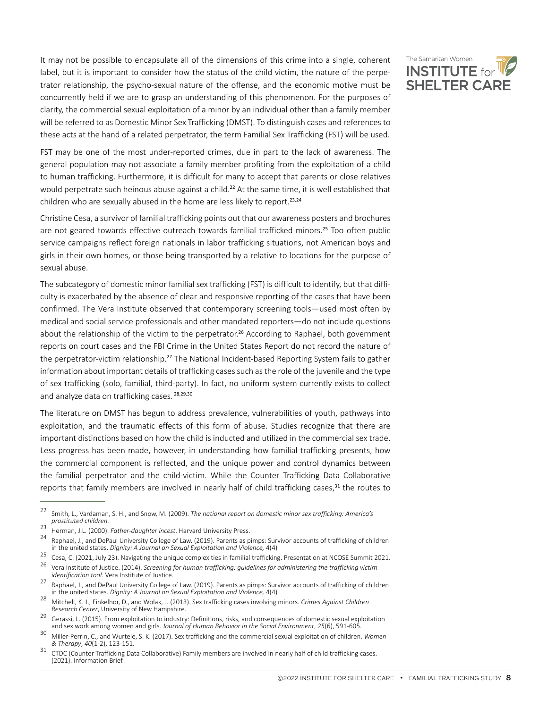It may not be possible to encapsulate all of the dimensions of this crime into a single, coherent label, but it is important to consider how the status of the child victim, the nature of the perpetrator relationship, the psycho-sexual nature of the offense, and the economic motive must be concurrently held if we are to grasp an understanding of this phenomenon. For the purposes of clarity, the commercial sexual exploitation of a minor by an individual other than a family member will be referred to as Domestic Minor Sex Trafficking (DMST). To distinguish cases and references to these acts at the hand of a related perpetrator, the term Familial Sex Trafficking (FST) will be used.

FST may be one of the most under-reported crimes, due in part to the lack of awareness. The general population may not associate a family member profiting from the exploitation of a child to human trafficking. Furthermore, it is difficult for many to accept that parents or close relatives would perpetrate such heinous abuse against a child.<sup>22</sup> At the same time, it is well established that children who are sexually abused in the home are less likely to report.<sup>23,24</sup>

Christine Cesa, a survivor of familial trafficking points out that our awareness posters and brochures are not geared towards effective outreach towards familial trafficked minors.<sup>25</sup> Too often public service campaigns reflect foreign nationals in labor trafficking situations, not American boys and girls in their own homes, or those being transported by a relative to locations for the purpose of sexual abuse.

The subcategory of domestic minor familial sex trafficking (FST) is difficult to identify, but that difficulty is exacerbated by the absence of clear and responsive reporting of the cases that have been confirmed. The Vera Institute observed that contemporary screening tools—used most often by medical and social service professionals and other mandated reporters—do not include questions about the relationship of the victim to the perpetrator.<sup>26</sup> According to Raphael, both government reports on court cases and the FBI Crime in the United States Report do not record the nature of the perpetrator-victim relationship.<sup>27</sup> The National Incident-based Reporting System fails to gather information about important details of trafficking cases such as the role of the juvenile and the type of sex trafficking (solo, familial, third-party). In fact, no uniform system currently exists to collect and analyze data on trafficking cases.<sup>28,29,30</sup>

The literature on DMST has begun to address prevalence, vulnerabilities of youth, pathways into exploitation, and the traumatic effects of this form of abuse. Studies recognize that there are important distinctions based on how the child is inducted and utilized in the commercial sex trade. Less progress has been made, however, in understanding how familial trafficking presents, how the commercial component is reflected, and the unique power and control dynamics between the familial perpetrator and the child-victim. While the Counter Trafficking Data Collaborative reports that family members are involved in nearly half of child trafficking cases, $31$  the routes to



<sup>22</sup> Smith, L., Vardaman, S. H., and Snow, M. (2009). *The national report on domestic minor sex trafficking: America's prostituted children.*

<sup>&</sup>lt;sup>23</sup> Herman, J.L. (2000). *Father-daughter incest*. Harvard University Press.<br><sup>24</sup> Raphael, J., and DePaul University College of Law. (2019). Parents as pimps: Survivor accounts of trafficking of children in the united states. *Dignity: A Journal on Sexual Exploitation and Violence,* 4(4)

<sup>&</sup>lt;sup>25</sup> Cesa, C. (2021, July 23). Navigating the unique complexities in familial trafficking. Presentation at NCOSE Summit 2021. Vera Institute of Justice. (2014). *Screening for human trafficking: guidelines for administering the trafficking victim*<br>*identification tool*. Vera Institute of Justice.

<sup>&</sup>lt;sup>27</sup> Raphael, J., and DePaul University College of Law. (2019). Parents as pimps: Survivor accounts of trafficking of children in the united states. *Dignity: A Journal on Sexual Exploitation and Violence,* 4(4)

<sup>28</sup> Mitchell, K. J., Finkelhor, D., and Wolak, J. (2013). Sex trafficking cases involving minors. *Crimes Against Children Research Center*, University of New Hampshire.

<sup>&</sup>lt;sup>29</sup> Gerassi, L. (2015). From exploitation to industry: Definitions, risks, and consequences of domestic sexual exploitation and sex work among women and girls. *Journal of Human Behavior in the Social Environment*, *25*(6), 591-605.

<sup>30</sup> Miller-Perrin, C., and Wurtele, S. K. (2017). Sex trafficking and the commercial sexual exploitation of children. *Women & Therapy*, *40*(1-2), 123-151.

 $31$  CTDC (Counter Trafficking Data Collaborative) Family members are involved in nearly half of child trafficking cases. (2021). Information Brief.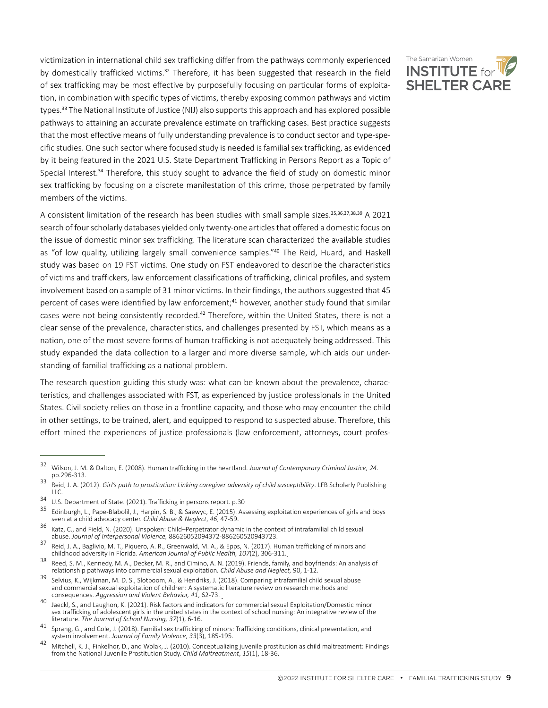victimization in international child sex trafficking differ from the pathways commonly experienced by domestically trafficked victims.<sup>32</sup> Therefore, it has been suggested that research in the field of sex trafficking may be most effective by purposefully focusing on particular forms of exploitation, in combination with specific types of victims, thereby exposing common pathways and victim types.<sup>33</sup> The National Institute of Justice (NIJ) also supports this approach and has explored possible pathways to attaining an accurate prevalence estimate on trafficking cases. Best practice suggests that the most effective means of fully understanding prevalence is to conduct sector and type-specific studies. One such sector where focused study is needed is familial sex trafficking, as evidenced by it being featured in the 2021 U.S. State Department Trafficking in Persons Report as a Topic of Special Interest.<sup>34</sup> Therefore, this study sought to advance the field of study on domestic minor sex trafficking by focusing on a discrete manifestation of this crime, those perpetrated by family members of the victims.

A consistent limitation of the research has been studies with small sample sizes.<sup>35</sup>,36,37,38,<sup>39</sup> A 2021 search of four scholarly databases yielded only twenty-one articles that offered a domestic focus on the issue of domestic minor sex trafficking. The literature scan characterized the available studies as "of low quality, utilizing largely small convenience samples."<sup>40</sup> The Reid, Huard, and Haskell study was based on 19 FST victims. One study on FST endeavored to describe the characteristics of victims and traffickers, law enforcement classifications of trafficking, clinical profiles, and system involvement based on a sample of 31 minor victims. In their findings, the authors suggested that 45 percent of cases were identified by law enforcement;<sup>41</sup> however, another study found that similar cases were not being consistently recorded.<sup>42</sup> Therefore, within the United States, there is not a clear sense of the prevalence, characteristics, and challenges presented by FST, which means as a nation, one of the most severe forms of human trafficking is not adequately being addressed. This study expanded the data collection to a larger and more diverse sample, which aids our understanding of familial trafficking as a national problem.

The research question guiding this study was: what can be known about the prevalence, characteristics, and challenges associated with FST, as experienced by justice professionals in the United States. Civil society relies on those in a frontline capacity, and those who may encounter the child in other settings, to be trained, alert, and equipped to respond to suspected abuse. Therefore, this effort mined the experiences of justice professionals (law enforcement, attorneys, court profes-



<sup>32</sup> Wilson, J. M. & Dalton, E. (2008). Human trafficking in the heartland. *Journal of Contemporary Criminal Justice, 24*. pp.296-313.

<sup>33</sup> Reid, J. A. (2012). *Girl's path to prostitution: Linking caregiver adversity of child susceptibility*. LFB Scholarly Publishing  $ILC.$ 

<sup>&</sup>lt;sup>34</sup> U.S. Department of State. (2021). Trafficking in persons report. p.30<br><sup>35</sup> Ediphurgh J. Pena Plabelil J. Hernin S. B. 8 Sequent E. (2015). Act

Edinburgh, L., Pape-Blabolil, J., Harpin, S. B., & Saewyc, E. (2015). Assessing exploitation experiences of girls and boys seen at a child advocacy center. *Child Abuse & Neglect*, *46*, 47-59.

 $36$  Katz, C., and Field, N. (2020). Unspoken: Child–Perpetrator dynamic in the context of intrafamilial child sexual abuse. *Journal of Interpersonal Violence,* 88626052094372-886260520943723.

<sup>37</sup> Reid, J. A., Baglivio, M. T., Piquero, A. R., Greenwald, M. A., & Epps, N. (2017). Human trafficking of minors and childhood adversity in Florida. *American Journal of Public Health, 107*(2), 306-311.

<sup>38</sup> Reed, S. M., Kennedy, M. A., Decker, M. R., and Cimino, A. N. (2019). Friends, family, and boyfriends: An analysis of relationship pathways into commercial sexual exploitation*. Child Abuse and Neglect,* 90, 1-12.

<sup>39</sup> Selvius, K., Wijkman, M. D. S., Slotboom, A., & Hendriks, J. (2018). Comparing intrafamilial child sexual abuse and commercial sexual exploitation of children: A systematic literature review on research methods and consequences. *Aggression and Violent Behavior, 41*, 62-73.

<sup>40</sup> Jaeckl, S., and Laughon, K. (2021). Risk factors and indicators for commercial sexual Exploitation/Domestic minor sex trafficking of adolescent girls in the united states in the context of school nursing: An integrative review of the literature. The Journal of School Nursing, 37(1), 6-16.

at<br>Interation School Nursing, *Aournal Sex trafficking of minors: Trafficking conditions, clinical presentation, and*<br>System involvement. *Journal of Family Violence, 33*(3), 185-195.

<sup>&</sup>lt;sup>42</sup> Mitchell, K. J., Finkelhor, D., and Wolak, J. (2010). Conceptualizing juvenile prostitution as child maltreatment: Findings from the National Juvenile Prostitution Study. *Child Maltreatment*, *15*(1), 18-36.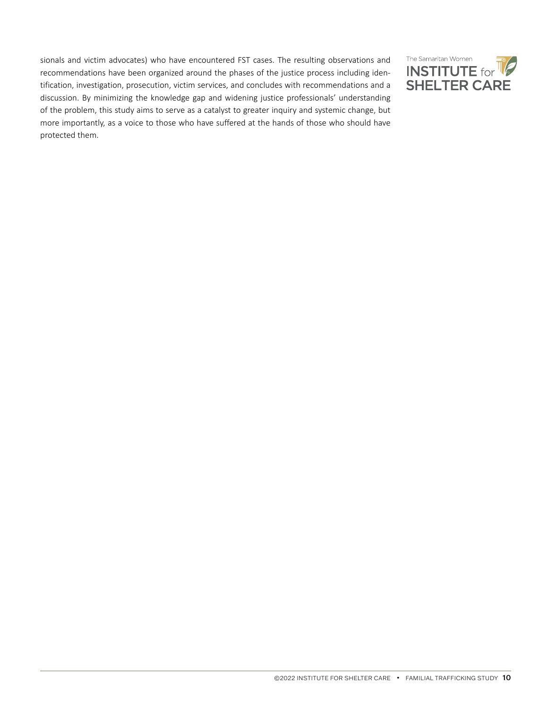sionals and victim advocates) who have encountered FST cases. The resulting observations and recommendations have been organized around the phases of the justice process including identification, investigation, prosecution, victim services, and concludes with recommendations and a discussion. By minimizing the knowledge gap and widening justice professionals' understanding of the problem, this study aims to serve as a catalyst to greater inquiry and systemic change, but more importantly, as a voice to those who have suffered at the hands of those who should have protected them.

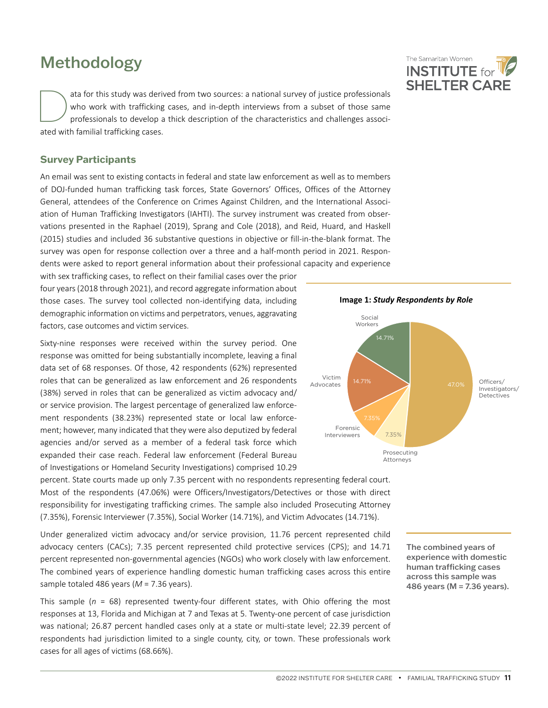# <span id="page-10-0"></span>Methodology

ata for this study was derived from two sources: a national survey of justice professionals<br>who work with trafficking cases, and in-depth interviews from a subset of those same<br>professionals to develop a thick description who work with trafficking cases, and in-depth interviews from a subset of those same ated with familial trafficking cases.

## **Survey Participants**

An email was sent to existing contacts in federal and state law enforcement as well as to members of DOJ-funded human trafficking task forces, State Governors' Offices, Offices of the Attorney General, attendees of the Conference on Crimes Against Children, and the International Association of Human Trafficking Investigators (IAHTI). The survey instrument was created from observations presented in the Raphael (2019), Sprang and Cole (2018), and Reid, Huard, and Haskell (2015) studies and included 36 substantive questions in objective or fill-in-the-blank format. The survey was open for response collection over a three and a half-month period in 2021. Respondents were asked to report general information about their professional capacity and experience

with sex trafficking cases, to reflect on their familial cases over the prior four years (2018 through 2021), and record aggregate information about those cases. The survey tool collected non-identifying data, including demographic information on victims and perpetrators, venues, aggravating factors, case outcomes and victim services.

Sixty-nine responses were received within the survey period. One response was omitted for being substantially incomplete, leaving a final data set of 68 responses. Of those, 42 respondents (62%) represented roles that can be generalized as law enforcement and 26 respondents (38%) served in roles that can be generalized as victim advocacy and/ or service provision. The largest percentage of generalized law enforcement respondents (38.23%) represented state or local law enforcement; however, many indicated that they were also deputized by federal agencies and/or served as a member of a federal task force which expanded their case reach. Federal law enforcement (Federal Bureau of Investigations or Homeland Security Investigations) comprised 10.29



Social Workers



**Image 1:** *Study Respondents by Role*

percent. State courts made up only 7.35 percent with no respondents representing federal court. Most of the respondents (47.06%) were Officers/Investigators/Detectives or those with direct responsibility for investigating trafficking crimes. The sample also included Prosecuting Attorney (7.35%), Forensic Interviewer (7.35%), Social Worker (14.71%), and Victim Advocates (14.71%).

Under generalized victim advocacy and/or service provision, 11.76 percent represented child advocacy centers (CACs); 7.35 percent represented child protective services (CPS); and 14.71 percent represented non-governmental agencies (NGOs) who work closely with law enforcement. The combined years of experience handling domestic human trafficking cases across this entire sample totaled 486 years (M = 7.36 years).

This sample  $(n = 68)$  represented twenty-four different states, with Ohio offering the most responses at 13, Florida and Michigan at 7 and Texas at 5. Twenty-one percent of case jurisdiction was national; 26.87 percent handled cases only at a state or multi-state level; 22.39 percent of respondents had jurisdiction limited to a single county, city, or town. These professionals work cases for all ages of victims (68.66%).



The combined years of experience with domestic human trafficking cases across this sample was 486 years (M = 7.36 years).

Officers/ Investigators/ Detectives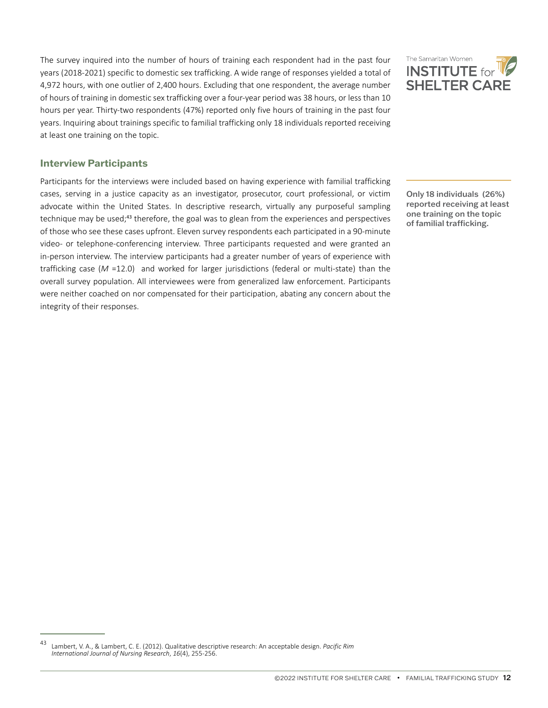<span id="page-11-0"></span>The survey inquired into the number of hours of training each respondent had in the past four years (2018-2021) specific to domestic sex trafficking. A wide range of responses yielded a total of 4,972 hours, with one outlier of 2,400 hours. Excluding that one respondent, the average number of hours of training in domestic sex trafficking over a four-year period was 38 hours, or less than 10 hours per year. Thirty-two respondents (47%) reported only five hours of training in the past four years. Inquiring about trainings specific to familial trafficking only 18 individuals reported receiving at least one training on the topic.

## **Interview Participants**

Participants for the interviews were included based on having experience with familial trafficking cases, serving in a justice capacity as an investigator, prosecutor, court professional, or victim advocate within the United States. In descriptive research, virtually any purposeful sampling technique may be used;<sup>43</sup> therefore, the goal was to glean from the experiences and perspectives of those who see these cases upfront. Eleven survey respondents each participated in a 90-minute video- or telephone-conferencing interview. Three participants requested and were granted an in-person interview. The interview participants had a greater number of years of experience with trafficking case (*M* =12.0) and worked for larger jurisdictions (federal or multi-state) than the overall survey population. All interviewees were from generalized law enforcement. Participants were neither coached on nor compensated for their participation, abating any concern about the integrity of their responses.



Only 18 individuals (26%) reported receiving at least one training on the topic of familial trafficking.

<sup>43</sup> Lambert, V. A., & Lambert, C. E. (2012). Qualitative descriptive research: An acceptable design. *Pacific Rim International Journal of Nursing Research*, *16*(4), 255-256.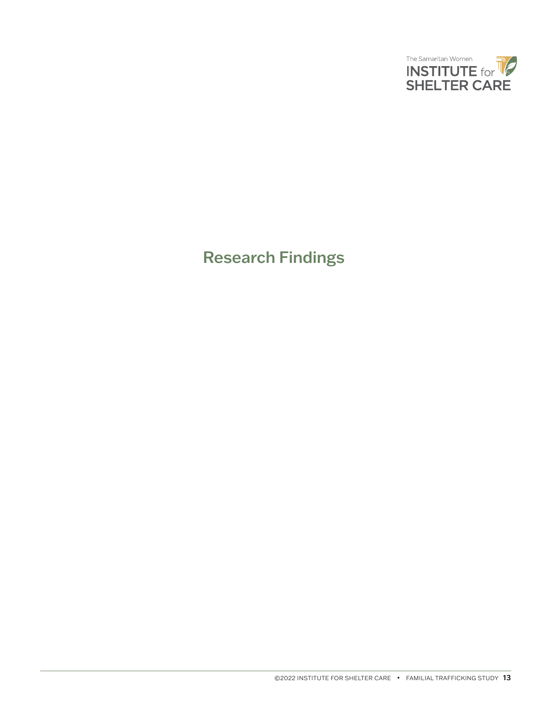

# <span id="page-12-0"></span>Research Findings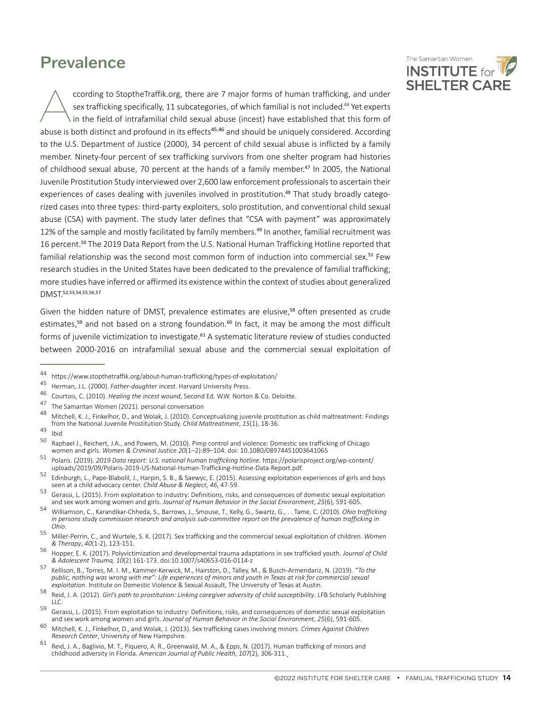# <span id="page-13-0"></span>Prevalence

ccording to StoptheTraffik.org, there are 7 major forms of human trafficking, and under sex trafficking specifically, 11 subcategories, of which familial is not included.<sup>44</sup> Yet experts in the field of intrafamilial child sex trafficking specifically, 11 subcategories, of which familial is not included.<sup>44</sup> Yet experts abuse is both distinct and profound in its effects<sup>45,46</sup> and should be uniquely considered. According to the U.S. Department of Justice (2000), 34 percent of child sexual abuse is inflicted by a family member. Ninety-four percent of sex trafficking survivors from one shelter program had histories of childhood sexual abuse, 70 percent at the hands of a family member.<sup>47</sup> In 2005, the National Juvenile Prostitution Study interviewed over 2,600 law enforcement professionals to ascertain their experiences of cases dealing with juveniles involved in prostitution.<sup>48</sup> That study broadly categorized cases into three types: third-party exploiters, solo prostitution, and conventional child sexual abuse (CSA) with payment. The study later defines that "CSA with payment" was approximately 12% of the sample and mostly facilitated by family members.<sup>49</sup> In another, familial recruitment was 16 percent.<sup>50</sup> The 2019 Data Report from the U.S. National Human Trafficking Hotline reported that familial relationship was the second most common form of induction into commercial sex.<sup>51</sup> Few research studies in the United States have been dedicated to the prevalence of familial trafficking; more studies have inferred or affirmed its existence within the context of studies about generalized DMST.<sup>52</sup>,53,54,55,56,<sup>57</sup>

Given the hidden nature of DMST, prevalence estimates are elusive,<sup>58</sup> often presented as crude estimates,<sup>59</sup> and not based on a strong foundation.<sup>60</sup> In fact, it may be among the most difficult forms of juvenile victimization to investigate.<sup>61</sup> A systematic literature review of studies conducted between 2000-2016 on intrafamilial sexual abuse and the commercial sexual exploitation of

44 https://www.stopthetraffik.org/about-human-trafficking/types-of-exploitation/<br>45 Herman, J.L. (2000). *Father-daughter incest*. Harvard University Press.<br>46 American Press.



<sup>46</sup> Courtois, C. (2010). *Healing the incest wound*, Second Ed. W.W. Norton & Co. Deloitte.<br>47 The Samaritan Women (2021). personal conversation<br>48 November 2021. [10] The Samaritan Women (2021). [10] Little (2000). Contrac

<sup>48</sup> Mitchell, K. J., Finkelhor, D., and Wolak, J. (2010). Conceptualizing juvenile prostitution as child maltreatment: Findings from the National Juvenile Prostitution Study. *Child Maltreatment*, *15*(1), 18-36.

 $\frac{49}{50}$  Ibid

Raphael J., Reichert, J.A., and Powers, M. (2010). Pimp control and violence: Domestic sex trafficking of Chicago<br>women and girls. Women & Criminal Justice 20(1-2):89-104. doi: 10.1080/08974451003641065

<sup>&</sup>lt;sup>51</sup> Polaris. (2019). 2019 Data report: U.S. national human trafficking hotline. https://polarisproject.org/wp-content/ uploads/2019/09/Polaris-2019-US-National-Human-Trafficking-Hotline-Data-Report.pdf.

<sup>52</sup> Edinburgh, L., Pape-Blabolil, J., Harpin, S. B., & Saewyc, E. (2015). Assessing exploitation experiences of girls and boys seen at a child advocacy center. *Child Abuse & Neglect*, *46*, 47-59.

<sup>53</sup> Gerassi, L. (2015). From exploitation to industry: Definitions, risks, and consequences of domestic sexual exploitation and sex work among women and girls. Journal of Human Behavior in the Social Environment, 25(6), 59

<sup>54</sup> Williamson, C., Karandikar-Chheda, S., Barrows, J., Smouse, T., Kelly, G., Swartz, G., . . Tame, C. (2010). Ohio trafficking *in persons study commission research and analysis sub-committee report on the prevalence of human trafficking in Ohio.*<br>Miller-Perrin, C., and Wurtele, S. K. (2017). Sex trafficking and the commercial sexual exploitation of children. *Women* 

*<sup>&</sup>amp; Therapy*, *40*(1-2), 123-151.

<sup>56</sup> Hopper, E. K. (2017). Polyvictimization and developmental trauma adaptations in sex trafficked youth. *Journal of Child* 

*<sup>&</sup>amp; Adolescent Trauma, <sup>10</sup>*(2) 161-173. doi:10.1007/s40653-016-0114-z 57 Kellison, B., Torres, M. I. M., Kammer-Kerwick, M., Hairston, D., Talley, M., & Busch-Armendariz, N. (2019). *"To the public, nothing was wrong with me": Life experiences of minors and youth in Texas at risk for commercial sexual exploitation*. Institute on Domestic Violence & Sexual Assault, The University of Texas at Austin.

<sup>58</sup> Reid, J. A. (2012). *Girl's path to prostitution: Linking caregiver adversity of child susceptibility*. LFB Scholarly Publishing  $ILC.$ 

<sup>59</sup> Gerassi, L. (2015). From exploitation to industry: Definitions, risks, and consequences of domestic sexual exploitation and sex work among women and girls. *Journal of Human Behavior in the Social Environment*, *25*(6), 591-605.

<sup>60</sup> Mitchell, K. J., Finkelhor, D., and Wolak, J. (2013). Sex trafficking cases involving minors. *Crimes Against Children Research Center*, University of New Hampshire.

<sup>61</sup> Reid, J. A., Baglivio, M. T., Piquero, A. R., Greenwald, M. A., & Epps, N. (2017). Human trafficking of minors and childhood adversity in Florida. *American Journal of Public Health, 107*(2), 306-311.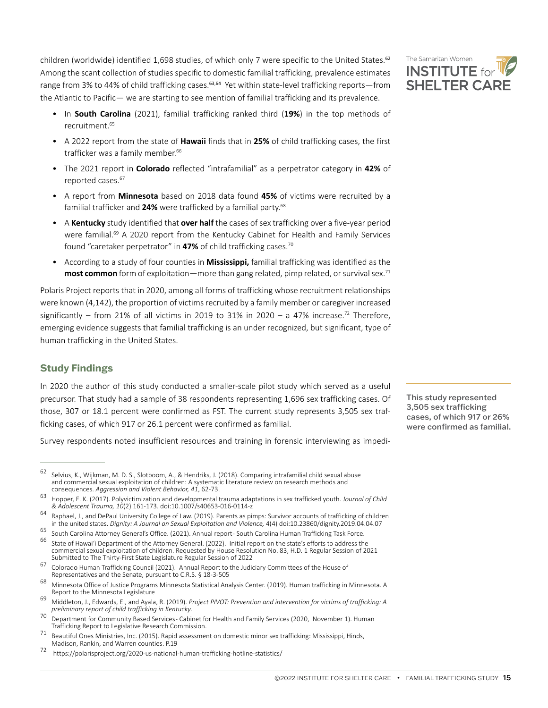<span id="page-14-0"></span>children (worldwide) identified 1,698 studies, of which only 7 were specific to the United States.<sup>62</sup> Among the scant collection of studies specific to domestic familial trafficking, prevalence estimates range from 3% to 44% of child trafficking cases.<sup>63,64</sup> Yet within state-level trafficking reports—from the Atlantic to Pacific— we are starting to see mention of familial trafficking and its prevalence.

- In **South Carolina** (2021), familial trafficking ranked third (**19%**) in the top methods of recruitment.65
- A 2022 report from the state of **Hawaii** finds that in **25%** of child trafficking cases, the first trafficker was a family member.<sup>66</sup>
- The 2021 report in **Colorado** reflected "intrafamilial" as a perpetrator category in **42%** of reported cases.<sup>67</sup>
- A report from **Minnesota** based on 2018 data found **45%** of victims were recruited by a familial trafficker and **24%** were trafficked by a familial party.68
- A **Kentucky** study identified that **over half** the cases of sex trafficking over a five-year period were familial.<sup>69</sup> A 2020 report from the Kentucky Cabinet for Health and Family Services found "caretaker perpetrator" in **47%** of child trafficking cases.70
- According to a study of four counties in **Mississippi,** familial trafficking was identified as the **most common** form of exploitation—more than gang related, pimp related, or survival sex.<sup>71</sup>

Polaris Project reports that in 2020, among all forms of trafficking whose recruitment relationships were known (4,142), the proportion of victims recruited by a family member or caregiver increased significantly – from 21% of all victims in 2019 to 31% in 2020 – a 47% increase.<sup>72</sup> Therefore, emerging evidence suggests that familial trafficking is an under recognized, but significant, type of human trafficking in the United States.

# **Study Findings**

In 2020 the author of this study conducted a smaller-scale pilot study which served as a useful precursor. That study had a sample of 38 respondents representing 1,696 sex trafficking cases. Of those, 307 or 18.1 percent were confirmed as FST. The current study represents 3,505 sex trafficking cases, of which 917 or 26.1 percent were confirmed as familial.

Survey respondents noted insufficient resources and training in forensic interviewing as impedi-



This study represented 3,505 sex trafficking cases, of which 917 or 26% were confirmed as familial.

<sup>62</sup> Selvius, K., Wijkman, M. D. S., Slotboom, A., & Hendriks, J. (2018). Comparing intrafamilial child sexual abuse and commercial sexual exploitation of children: A systematic literature review on research methods and consequences. *Aggression and Violent Behavior, 41*, 62-73.

<sup>63</sup> Hopper, E. K. (2017). Polyvictimization and developmental trauma adaptations in sex trafficked youth. *Journal of Child & Adolescent Trauma, 10*(2) 161-173. doi:10.1007/s40653-016-0114-z

<sup>64</sup> Raphael, J., and DePaul University College of Law. (2019). Parents as pimps: Survivor accounts of trafficking of children in the united states. *Dignity: A Journal on Sexual Exploitation and Violence,* 4(4) doi:10.23860/dignity.2019.04.04.07

<sup>65</sup> South Carolina Attorney General's Office. (2021). Annual report- South Carolina Human Trafficking Task Force.<br>66 South Carolina Human Trafficking Task Force.

<sup>66</sup> State of Hawai'i Department of the Attorney General. (2022). Initial report on the state's efforts to address the commercial sexual exploitation of children. Requested by House Resolution No. 83, H.D. 1 Regular Session of 2021 Submitted to The Thirty-First State Legislature Regular Session of 2022

<sup>67</sup> Colorado Human Trafficking Council (2021). Annual Report to the Judiciary Committees of the House of Representatives and the Senate, pursuant to C.R.S. § 18-3-505

<sup>68</sup> Minnesota Office of Justice Programs Minnesota Statistical Analysis Center. (2019). Human trafficking in Minnesota. A Report to the Minnesota Legislature

<sup>69</sup> Middleton, J., Edwards, E., and Ayala, R. (2019). *Project PIVOT: Prevention and intervention for victims of trafficking: A* 

*preliminary report of child trafficking in Kentucky*. <sup>70</sup> Department for Community Based Services - Cabinet for Health and Family Services (2020, November 1). Human

Trafficking Report to Legislative Research Commission.<br><sup>71</sup> Beautiful Ones Ministries, Inc. (2015). Rapid assessment on domestic minor sex trafficking: Mississippi, Hinds,<br>Madison, Rankin, and Warren counties. P.19

<sup>72</sup> https://polarisproject.org/2020-us-national-human-trafficking-hotline-statistics/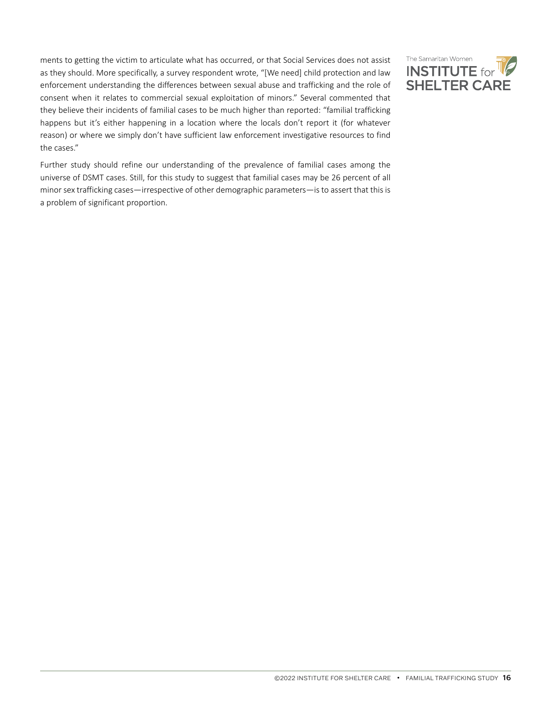ments to getting the victim to articulate what has occurred, or that Social Services does not assist as they should. More specifically, a survey respondent wrote, "[We need] child protection and law enforcement understanding the differences between sexual abuse and trafficking and the role of consent when it relates to commercial sexual exploitation of minors." Several commented that they believe their incidents of familial cases to be much higher than reported: "familial trafficking happens but it's either happening in a location where the locals don't report it (for whatever reason) or where we simply don't have sufficient law enforcement investigative resources to find the cases."

Further study should refine our understanding of the prevalence of familial cases among the universe of DSMT cases. Still, for this study to suggest that familial cases may be 26 percent of all minor sex trafficking cases—irrespective of other demographic parameters—is to assert that this is a problem of significant proportion.

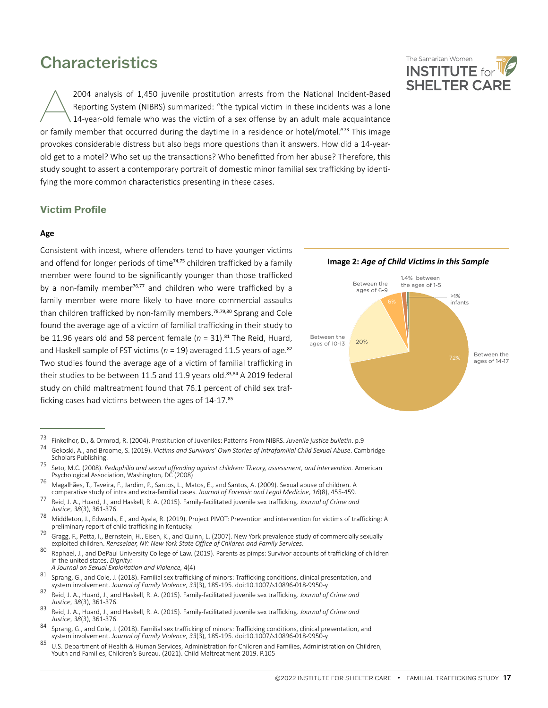# <span id="page-16-0"></span>**Characteristics**

2004 analysis of 1,450 juvenile prostitution arrests from the National Incident-Based Reporting System (NIBRS) summarized: "the typical victim in these incidents was a lone 14-year-old female who was the victim of a sex offense by an adult male acquaintance or family member that occurred during the daytime in a residence or hotel/motel."<sup>73</sup> This image provokes considerable distress but also begs more questions than it answers. How did a 14-yearold get to a motel? Who set up the transactions? Who benefitted from her abuse? Therefore, this study sought to assert a contemporary portrait of domestic minor familial sex trafficking by identifying the more common characteristics presenting in these cases.

## **Victim Profile**

#### **Age**

Consistent with incest, where offenders tend to have younger victims and offend for longer periods of time<sup>74,75</sup> children trafficked by a family member were found to be significantly younger than those trafficked by a non-family member<sup>76,77</sup> and children who were trafficked by a family member were more likely to have more commercial assaults than children trafficked by non-family members.<sup>78,79,80</sup> Sprang and Cole found the average age of a victim of familial trafficking in their study to be 11.96 years old and 58 percent female  $(n = 31)$ .<sup>81</sup> The Reid, Huard, and Haskell sample of FST victims ( $n = 19$ ) averaged 11.5 years of age.<sup>82</sup> Two studies found the average age of a victim of familial trafficking in their studies to be between 11.5 and 11.9 years old.<sup>83,84</sup> A 2019 federal study on child maltreatment found that 76.1 percent of child sex trafficking cases had victims between the ages of 14-17.<sup>85</sup>



- 76 Magalhães, T., Taveira, F., Jardim, P., Santos, L., Matos, E., and Santos, A. (2009). Sexual abuse of children. A<br>Comparative study of intra and extra-familial cases. Journal of Forensic and Legal Medicine, 16(8), 455-4
- 77 Reid, J. A., Huard, J., and Haskell, R. A. (2015). Family-facilitated juvenile sex trafficking. Journal of Crime and *Justice*, *38*(3), 361-376.
- $^{78}$  Middleton, J., Edwards, E., and Ayala, R. (2019). Project PIVOT: Prevention and intervention for victims of trafficking: A preliminary report of child trafficking in Kentucky.
- <sup>79</sup> Gragg, F., Petta, I., Bernstein, H., Eisen, K., and Quinn, L. (2007). New York prevalence study of commercially sexually exploited children. *Rensselaer, NY: New York State Office of Children and Family Services*.
- 80 Raphael, J., and DePaul University College of Law. (2019). Parents as pimps: Survivor accounts of trafficking of children in the united states. *Dignity: A Journal on Sexual Exploitation and Violence,* 4(4)
- $81$  Sprang, G., and Cole, J. (2018). Familial sex trafficking of minors: Trafficking conditions, clinical presentation, and system involvement. *Journal of Family Violence*, *33*(3), 185-195. doi:10.1007/s10896-018-9950-y
- <sup>82</sup> Reid, J. A., Huard, J., and Haskell, R. A. (2015). Family-facilitated juvenile sex trafficking. *Journal of Crime and Justice*, *38*(3), 361-376.
- <sup>83</sup> Reid, J. A., Huard, J., and Haskell, R. A. (2015). Family-facilitated juvenile sex trafficking. *Journal of Crime and Justice*, *38*(3), 361-376.



<sup>&</sup>lt;sup>73</sup> Finkelhor, D., & Ormrod, R. (2004). Prostitution of Juveniles: Patterns From NIBRS. Juvenile justice bulletin. p.9<br><sup>74</sup> Gekoski, A., and Broome, S. (2019). *Victims and Survivors' Own Stories of Intrafamilial Child Se* 

<sup>&</sup>lt;sup>75</sup> Seto, M.C. (2008). *Pedophilia and sexual offending against children: Theory, assessment, and intervention. American* Psychological Association, Washington, DC (2008)

Sprang, G., and Cole, J. (2018). Familial sex trafficking of minors: Trafficking conditions, clinical presentation, and system involvement. *Journal of Family Violence*, *33*(3), 185-195. doi:10.1007/s10896-018-9950-y

<sup>85</sup> U.S. Department of Health & Human Services, Administration for Children and Families, Administration on Children, Youth and Families, Children's Bureau. (2021). Child Maltreatment 2019. P.105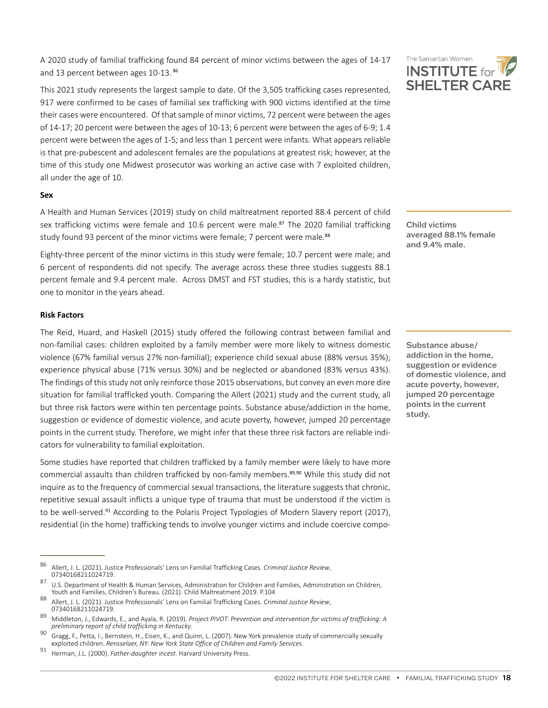<span id="page-17-0"></span>A 2020 study of familial trafficking found 84 percent of minor victims between the ages of 14-17 and 13 percent between ages 10-13.86

The Samaritan Women **INSTITUTE** for **SHELTER CARE** 

This 2021 study represents the largest sample to date. Of the 3,505 trafficking cases represented, 917 were confirmed to be cases of familial sex trafficking with 900 victims identified at the time their cases were encountered. Of that sample of minor victims, 72 percent were between the ages of 14-17; 20 percent were between the ages of 10-13; 6 percent were between the ages of 6-9; 1.4 percent were between the ages of 1-5; and less than 1 percent were infants. What appears reliable is that pre-pubescent and adolescent females are the populations at greatest risk; however, at the time of this study one Midwest prosecutor was working an active case with 7 exploited children, all under the age of 10.

#### **Sex**

A Health and Human Services (2019) study on child maltreatment reported 88.4 percent of child sex trafficking victims were female and 10.6 percent were male.<sup>87</sup> The 2020 familial trafficking study found 93 percent of the minor victims were female; 7 percent were male.<sup>88</sup>

Eighty-three percent of the minor victims in this study were female; 10.7 percent were male; and 6 percent of respondents did not specify. The average across these three studies suggests 88.1 percent female and 9.4 percent male. Across DMST and FST studies, this is a hardy statistic, but one to monitor in the years ahead.

#### **Risk Factors**

The Reid, Huard, and Haskell (2015) study offered the following contrast between familial and non-familial cases: children exploited by a family member were more likely to witness domestic violence (67% familial versus 27% non-familial); experience child sexual abuse (88% versus 35%); experience physical abuse (71% versus 30%) and be neglected or abandoned (83% versus 43%). The findings of this study not only reinforce those 2015 observations, but convey an even more dire situation for familial trafficked youth. Comparing the Allert (2021) study and the current study, all but three risk factors were within ten percentage points. Substance abuse/addiction in the home, suggestion or evidence of domestic violence, and acute poverty, however, jumped 20 percentage points in the current study. Therefore, we might infer that these three risk factors are reliable indicators for vulnerability to familial exploitation.

Some studies have reported that children trafficked by a family member were likely to have more commercial assaults than children trafficked by non-family members.<sup>89,90</sup> While this study did not inquire as to the frequency of commercial sexual transactions, the literature suggests that chronic, repetitive sexual assault inflicts a unique type of trauma that must be understood if the victim is to be well-served.<sup>91</sup> According to the Polaris Project Typologies of Modern Slavery report (2017), residential (in the home) trafficking tends to involve younger victims and include coercive compo-



Substance abuse/ addiction in the home, suggestion or evidence of domestic violence, and acute poverty, however, jumped 20 percentage points in the current study.

<sup>86</sup> Allert, J. L. (2021). Justice Professionals' Lens on Familial Trafficking Cases. *Criminal Justice Review*, 07340168211024719.

<sup>87</sup> U.S. Department of Health & Human Services, Administration for Children and Families, Administration on Children, Youth and Families, Children's Bureau. (2021). Child Maltreatment 2019. P.104

<sup>88</sup> Allert, J. L. (2021). Justice Professionals' Lens on Familial Trafficking Cases. *Criminal Justice Review*, 07340168211024719.

<sup>89</sup> Middleton, J., Edwards, E., and Ayala, R. (2019). *Project PIVOT: Prevention and intervention for victims of trafficking: A preliminary report of child trafficking in Kentucky*. <sup>90</sup> Gragg, F., Petta, I., Bernstein, H., Eisen, K., and Quinn, L. (2007). New York prevalence study of commercially sexually

exploited children. *Rensselaer, NY: New York State Office of Children and Family Services*. <sup>91</sup> Herman, J.L. (2000). *Father-daughter incest*. Harvard University Press.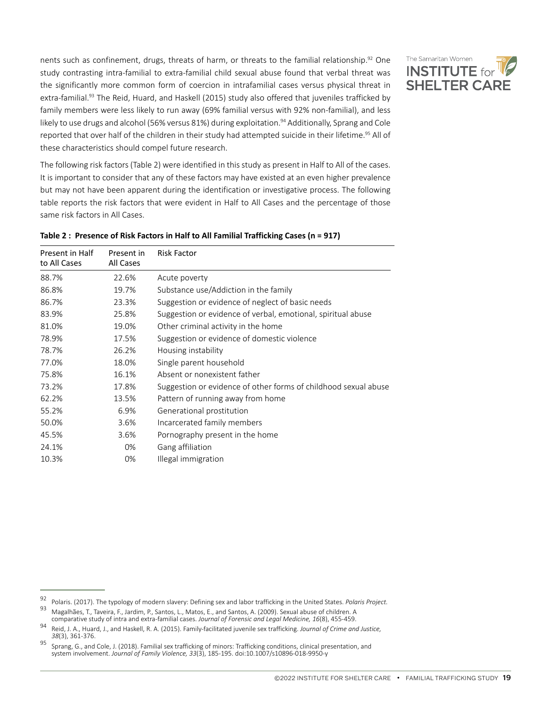nents such as confinement, drugs, threats of harm, or threats to the familial relationship.<sup>92</sup> One study contrasting intra-familial to extra-familial child sexual abuse found that verbal threat was the significantly more common form of coercion in intrafamilial cases versus physical threat in extra-familial.<sup>93</sup> The Reid, Huard, and Haskell (2015) study also offered that juveniles trafficked by family members were less likely to run away (69% familial versus with 92% non-familial), and less likely to use drugs and alcohol (56% versus 81%) during exploitation.<sup>94</sup> Additionally, Sprang and Cole reported that over half of the children in their study had attempted suicide in their lifetime.<sup>95</sup> All of these characteristics should compel future research.

The following risk factors (Table 2) were identified in this study as present in Half to All of the cases. It is important to consider that any of these factors may have existed at an even higher prevalence but may not have been apparent during the identification or investigative process. The following table reports the risk factors that were evident in Half to All Cases and the percentage of those same risk factors in All Cases.

| Present in Half<br>to All Cases | Present in<br>All Cases | <b>Risk Factor</b>                                              |
|---------------------------------|-------------------------|-----------------------------------------------------------------|
| 88.7%                           | 22.6%                   | Acute poverty                                                   |
| 86.8%                           | 19.7%                   | Substance use/Addiction in the family                           |
| 86.7%                           | 23.3%                   | Suggestion or evidence of neglect of basic needs                |
| 83.9%                           | 25.8%                   | Suggestion or evidence of verbal, emotional, spiritual abuse    |
| 81.0%                           | 19.0%                   | Other criminal activity in the home                             |
| 78.9%                           | 17.5%                   | Suggestion or evidence of domestic violence                     |
| 78.7%                           | 26.2%                   | Housing instability                                             |
| 77.0%                           | 18.0%                   | Single parent household                                         |
| 75.8%                           | 16.1%                   | Absent or nonexistent father                                    |
| 73.2%                           | 17.8%                   | Suggestion or evidence of other forms of childhood sexual abuse |
| 62.2%                           | 13.5%                   | Pattern of running away from home                               |
| 55.2%                           | 6.9%                    | Generational prostitution                                       |
| 50.0%                           | 3.6%                    | Incarcerated family members                                     |
| 45.5%                           | 3.6%                    | Pornography present in the home                                 |
| 24.1%                           | 0%                      | Gang affiliation                                                |
| 10.3%                           | 0%                      | Illegal immigration                                             |

| Table 2 : Presence of Risk Factors in Half to All Familial Trafficking Cases ( $n = 917$ ) |  |
|--------------------------------------------------------------------------------------------|--|
|--------------------------------------------------------------------------------------------|--|



<sup>92</sup> Polaris. (2017). The typology of modern slavery: Defining sex and labor trafficking in the United States. *Polaris Project.*

<sup>93</sup> Magalhães, T., Taveira, F., Jardim, P., Santos, L., Matos, E., and Santos, A. (2009). Sexual abuse of children. A comparative study of intra and extra-familial cases. *Journal of Forensic and Legal Medicine, 16*(8), 455-459.

<sup>94</sup> Reid, J. A., Huard, J., and Haskell, R. A. (2015). Family-facilitated juvenile sex trafficking. *Journal of Crime and Justice, 38*(3), 361-376.

 $\frac{95}{25}$  Sprang, G., and Cole, J. (2018). Familial sex trafficking of minors: Trafficking conditions, clinical presentation, and system involvement. *Journal of Family Violence, 33*(3), 185-195. doi:10.1007/s10896-018-9950-y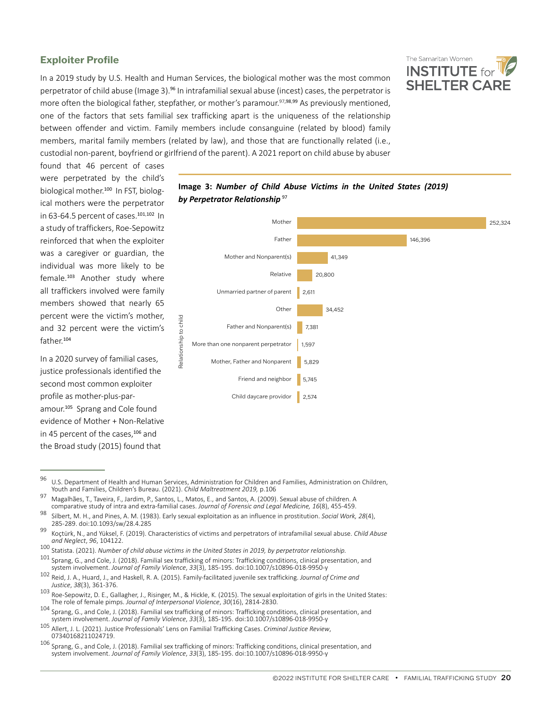# <span id="page-19-0"></span>**Exploiter Profile**

In a 2019 study by U.S. Health and Human Services, the biological mother was the most common perpetrator of child abuse (Image 3).<sup>96</sup> In intrafamilial sexual abuse (incest) cases, the perpetrator is more often the biological father, stepfather, or mother's paramour.<sup>97,98,99</sup> As previously mentioned, one of the factors that sets familial sex trafficking apart is the uniqueness of the relationship between offender and victim. Family members include consanguine (related by blood) family members, marital family members (related by law), and those that are functionally related (i.e., custodial non-parent, boyfriend or girlfriend of the parent). A 2021 report on child abuse by abuser

The Samaritan Women **INSTITUTE** for **SHELTER CARE** 

found that 46 percent of cases were perpetrated by the child's biological mother.<sup>100</sup> In FST, biological mothers were the perpetrator in 63-64.5 percent of cases.<sup>101,102</sup> In a study of traffickers, Roe-Sepowitz reinforced that when the exploiter was a caregiver or guardian, the individual was more likely to be female.<sup>103</sup> Another study where all traffickers involved were family members showed that nearly 65 percent were the victim's mother, and 32 percent were the victim's father.<sup>104</sup>

In a 2020 survey of familial cases, justice professionals identified the second most common exploiter profile as mother-plus-paramour.<sup>105</sup> Sprang and Cole found evidence of Mother + Non-Relative in 45 percent of the cases,<sup>106</sup> and the Broad study (2015) found that



## **Image 3:** *Number of Child Abuse Victims in the United States (2019) by Perpetrator Relationship* 97

<sup>96</sup> U.S. Department of Health and Human Services, Administration for Children and Families, Administration on Children, Youth and Families, Children's Bureau. (2021). *Child Maltreatment 2019,* p.106

<sup>97</sup> Magalhães, T., Taveira, F., Jardim, P., Santos, L., Matos, E., and Santos, A. (2009). Sexual abuse of children. A comparative study of intra and extra-familial cases. *Journal of Forensic and Legal Medicine, 16*(8), 455-459.

<sup>98</sup> Silbert, M. H., and Pines, A. M. (1983). Early sexual exploitation as an influence in prostitution. *Social Work, 28*(4), 285-289. doi:10.1093/sw/28.4.285

<sup>99</sup> Koçtürk, N., and Yüksel, F. (2019). Characteristics of victims and perpetrators of intrafamilial sexual abuse. *Child Abuse and Neglect*, *96*, 104122.

<sup>100</sup> Statista. (2021). Number of child abuse victims in the United States in 2019, by perpetrator relationship.<br>100 Statista. (2021). Number of child abuse victims in the United States in 2019, by perpetrator relationship.<br> system involvement. *Journal of Family Violence*, *33*(3), 185-195. doi:10.1007/s10896-018-9950-y

<sup>102</sup> Reid, J. A., Huard, J., and Haskell, R. A. (2015). Family-facilitated juvenile sex trafficking. *Journal of Crime and Justice*, *38*(3), 361-376.

<sup>103</sup> Roe-Sepowitz, D. E., Gallagher, J., Risinger, M., & Hickle, K. (2015). The sexual exploitation of girls in the United States: The role of female pimps. *Journal of Interpersonal Violence*, *30*(16), 2814-2830.

<sup>104</sup> Sprang, G., and Cole, J. (2018). Familial sex trafficking of minors: Trafficking conditions, clinical presentation, and system involvement. *Journal of Family Violence*, *33*(3), 185-195. doi:10.1007/s10896-018-9950-y

<sup>105</sup> Allert, J. L. (2021). Justice Professionals' Lens on Familial Trafficking Cases. *Criminal Justice Review*, 07340168211024719.

<sup>106</sup> Sprang, G., and Cole, J. (2018). Familial sex trafficking of minors: Trafficking conditions, clinical presentation, and system involvement. *Journal of Family Violence*, *33*(3), 185-195. doi:10.1007/s10896-018-9950-y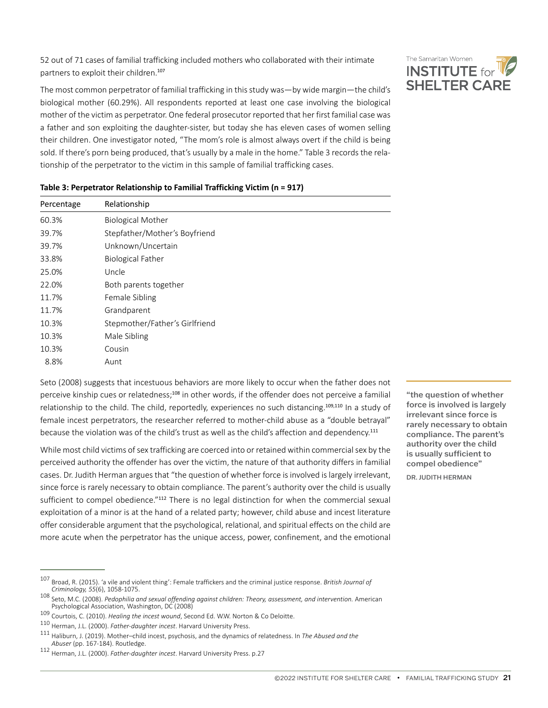52 out of 71 cases of familial trafficking included mothers who collaborated with their intimate partners to exploit their children.<sup>107</sup>

The most common perpetrator of familial trafficking in this study was—by wide margin—the child's biological mother (60.29%). All respondents reported at least one case involving the biological mother of the victim as perpetrator. One federal prosecutor reported that her first familial case was a father and son exploiting the daughter-sister, but today she has eleven cases of women selling their children. One investigator noted, "The mom's role is almost always overt if the child is being sold. If there's porn being produced, that's usually by a male in the home." Table 3 records the relationship of the perpetrator to the victim in this sample of familial trafficking cases.



#### **Table 3: Perpetrator Relationship to Familial Trafficking Victim (n = 917)**

Seto (2008) suggests that incestuous behaviors are more likely to occur when the father does not perceive kinship cues or relatedness;<sup>108</sup> in other words, if the offender does not perceive a familial relationship to the child. The child, reportedly, experiences no such distancing.<sup>109,110</sup> In a study of female incest perpetrators, the researcher referred to mother-child abuse as a "double betrayal" because the violation was of the child's trust as well as the child's affection and dependency.<sup>111</sup>

While most child victims of sex trafficking are coerced into or retained within commercial sex by the perceived authority the offender has over the victim, the nature of that authority differs in familial cases. Dr. Judith Herman argues that "the question of whether force is involved is largely irrelevant, since force is rarely necessary to obtain compliance. The parent's authority over the child is usually sufficient to compel obedience."<sup>112</sup> There is no legal distinction for when the commercial sexual exploitation of a minor is at the hand of a related party; however, child abuse and incest literature offer considerable argument that the psychological, relational, and spiritual effects on the child are more acute when the perpetrator has the unique access, power, confinement, and the emotional

"the question of whether force is involved is largely irrelevant since force is rarely necessary to obtain compliance. The parent's authority over the child is usually sufficient to compel obedience"

DR. JUDITH HERMAN



<sup>107</sup> Broad, R. (2015). 'a vile and violent thing': Female traffickers and the criminal justice response. *British Journal of Criminology, 55*(6), 1058-1075.

<sup>108</sup> Seto, M.C. (2008). *Pedophilia and sexual offending against children: Theory, assessment, and intervention.* American Psychological Association, Washington, DC (2008)

<sup>109</sup> Courtois, C. (2010). *Healing the incest wound*, Second Ed. W.W. Norton & Co Deloitte.<br><sup>110</sup> Herman, J.L. (2000). *Father-daughter incest*. Harvard University Press.

<sup>110</sup> Herman, J.L. (2000). *Father-daughter incest*. Harvard University Press. <sup>111</sup> Haliburn, J. (2019). Mother–child incest, psychosis, and the dynamics of relatedness. In *The Abused and the* 

<sup>&</sup>lt;sup>112</sup> Herman, J.L. (2000). *Father-daughter incest*. Harvard University Press. p.27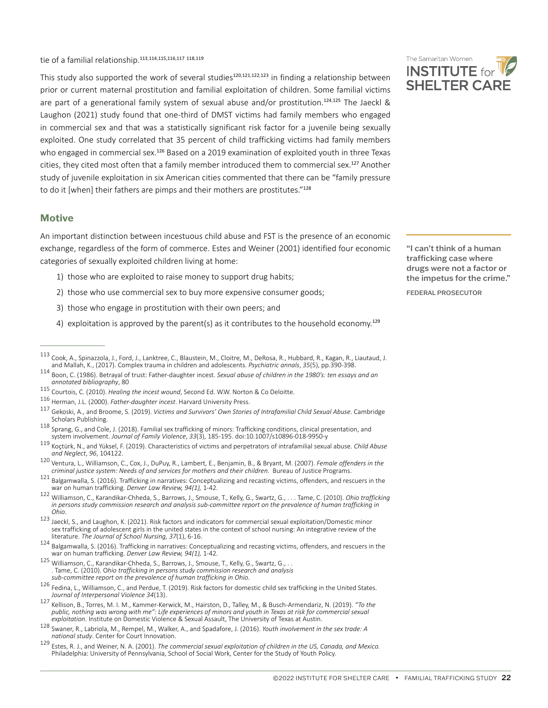<span id="page-21-0"></span>tie of a familial relationship.<sup>113,114,115,116,117</sup> 118,119

This study also supported the work of several studies<sup>120,121,122,123</sup> in finding a relationship between prior or current maternal prostitution and familial exploitation of children. Some familial victims are part of a generational family system of sexual abuse and/or prostitution.<sup>124,125</sup> The Jaeckl & Laughon (2021) study found that one-third of DMST victims had family members who engaged in commercial sex and that was a statistically significant risk factor for a juvenile being sexually exploited. One study correlated that 35 percent of child trafficking victims had family members who engaged in commercial sex.<sup>126</sup> Based on a 2019 examination of exploited youth in three Texas cities, they cited most often that a family member introduced them to commercial sex.<sup>127</sup> Another study of juvenile exploitation in six American cities commented that there can be "family pressure to do it [when] their fathers are pimps and their mothers are prostitutes."<sup>128</sup>

#### **Motive**

An important distinction between incestuous child abuse and FST is the presence of an economic exchange, regardless of the form of commerce. Estes and Weiner (2001) identified four economic categories of sexually exploited children living at home:

- 1) those who are exploited to raise money to support drug habits;
- 2) those who use commercial sex to buy more expensive consumer goods;
- 3) those who engage in prostitution with their own peers; and
- 4) exploitation is approved by the parent(s) as it contributes to the household economy.<sup>129</sup>

114 Boon, C. (1986). Betrayal of trust: Father-daughter incest. Sexual abuse of children in the 1980's: ten essays and an<br>annotated bibliography, 80

- 
- <sup>117</sup> Gekoski, A., and Broome, S. (2019). *Victims and Survivors' Own Stories of Intrafamilial Child Sexual Abuse*. Cambridge Scholars Publishing.
- 118 Sprang, G., and Cole, J. (2018). Familial sex trafficking of minors: Trafficking conditions, clinical presentation, and<br>118 Sprang, G., and Cole, J. (2018). Familial sex trafficking of minors: Trafficking conditions, c system involvement. *Journal of Family Violence*, *33*(3), 185-195. doi:10.1007/s10896-018-9950-y
- <sup>119</sup> Koçtürk, N., and Yüksel, F. (2019). Characteristics of victims and perpetrators of intrafamilial sexual abuse. *Child Abuse and Neglect*, *96*, 104122.
- <sup>120</sup> Ventura, L., Williamson, C., Cox, J., DuPuy, R., Lambert, E., Benjamin, B., & Bryant, M. (2007). *Female offenders in the*
- criminal justice system: Needs of and services for mothers and their children. Bureau of Justice Programs.<br><sup>121</sup> Balgamwalla, S. (2016). Trafficking in narratives: Conceptualizing and recasting victims, offenders, and resc <sup>121</sup> Balgamwalla, S. (2016). Trafficking in narratives: Conceptualizing and recasting victims, offenders, and rescuers in the war on human trafficking. *Denver Law Review, 94(1)*, 1-42.<br><sup>122</sup> Williamson, C., Karandikar-Ch
- *in persons study commission research and analysis sub-committee report on the prevalence of human trafficking in*
- *Ohio*. 123 Jaeckl, S., and Laughon, K. (2021). Risk factors and indicators for commercial sexual exploitation/Domestic minor sex trafficking of adolescent girls in the united states in the context of school nursing: An integrative review of the literature. The Journal of School Nursing, 37(1), 6-16.
- 124 Balgamwalla, S. (2016). Trafficking in narratives: Conceptualizing and recasting victims, offenders, and rescuers in the war on human trafficking. *Denver Law Review, 94(1),* 1-42.
- 125 Williamson, C., Karandikar-Chheda, S., Barrows, J., Smouse, T., Kelly, G., Swartz, G., . . Tame, C. (2010). O*hio trafficking in persons study commission research and analysis*
- 126 Fedina, L., Williamson, C., and Perdue, T. (2019). Risk factors for domestic child sex trafficking in the United States.<br>*Journal of Interpersonal Violence 34*(13).
- *Journal of Interpersonal Violence 34*(13). <sup>127</sup> Kellison, B., Torres, M. I. M., Kammer-Kerwick, M., Hairston, D., Talley, M., & Busch-Armendariz, N. (2019). *"To the public, nothing was wrong with me": Life experiences of minors and youth in Texas at risk for commercial sexual exploitation*. Institute on Domestic Violence & Sexual Assault, The University of Texas at Austin.
- <sup>128</sup> Swaner, R., Labriola, M., Rempel, M., Walker, A., and Spadafore, J. (2016). *Youth involvement in the sex trade: A national study*. Center for Court Innovation.
- <sup>129</sup> Estes, R. J., and Weiner, N. A. (2001). *The commercial sexual exploitation of children in the US, Canada, and Mexico.*  Philadelphia: University of Pennsylvania, School of Social Work, Center for the Study of Youth Policy.



"I can't think of a human trafficking case where drugs were not a factor or the impetus for the crime."

FEDERAL PROSECUTOR

<sup>113</sup> Cook, A., Spinazzola, J., Ford, J., Lanktree, C., Blaustein, M., Cloitre, M., DeRosa, R., Hubbard, R., Kagan, R., Liautaud, J.<br>and Mallah, K., (2017). Complex trauma in children and adolescents. Psychiatric annals, 35(

<sup>&</sup>lt;sup>115</sup> Courtois, C. (2010). *Healing the incest wound*, Second Ed. W.W. Norton & Co Deloitte.<br><sup>116</sup> Herman, J.L. (2000). *Father-daughter incest*. Harvard University Press.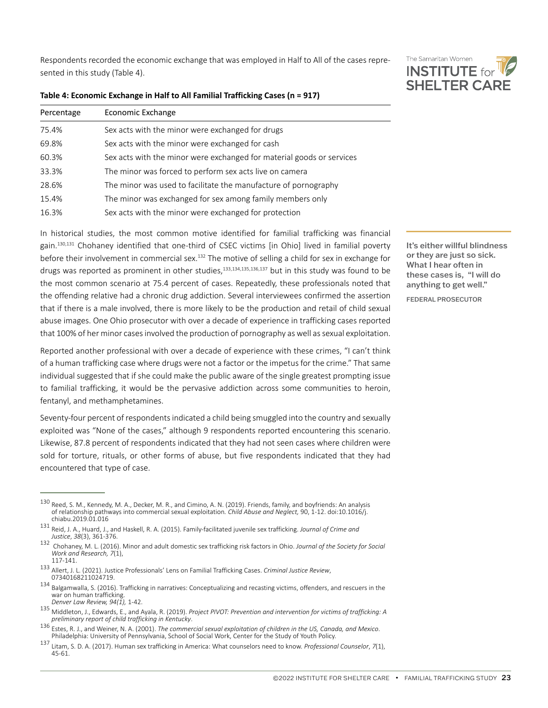Respondents recorded the economic exchange that was employed in Half to All of the cases represented in this study (Table 4).



| Percentage | Economic Exchange                                                     |
|------------|-----------------------------------------------------------------------|
| 75.4%      | Sex acts with the minor were exchanged for drugs                      |
| 69.8%      | Sex acts with the minor were exchanged for cash                       |
| 60.3%      | Sex acts with the minor were exchanged for material goods or services |
| 33.3%      | The minor was forced to perform sex acts live on camera               |
| 28.6%      | The minor was used to facilitate the manufacture of pornography       |
| 15.4%      | The minor was exchanged for sex among family members only             |
| 16.3%      | Sex acts with the minor were exchanged for protection                 |

In historical studies, the most common motive identified for familial trafficking was financial gain.<sup>130,131</sup> Chohaney identified that one-third of CSEC victims [in Ohio] lived in familial poverty before their involvement in commercial sex.<sup>132</sup> The motive of selling a child for sex in exchange for drugs was reported as prominent in other studies, $133,134,135,136,137$  but in this study was found to be the most common scenario at 75.4 percent of cases. Repeatedly, these professionals noted that the offending relative had a chronic drug addiction. Several interviewees confirmed the assertion that if there is a male involved, there is more likely to be the production and retail of child sexual abuse images. One Ohio prosecutor with over a decade of experience in trafficking cases reported that 100% of her minor cases involved the production of pornography as well as sexual exploitation.

Reported another professional with over a decade of experience with these crimes, "I can't think of a human trafficking case where drugs were not a factor or the impetus for the crime." That same individual suggested that if she could make the public aware of the single greatest prompting issue to familial trafficking, it would be the pervasive addiction across some communities to heroin, fentanyl, and methamphetamines.

Seventy-four percent of respondents indicated a child being smuggled into the country and sexually exploited was "None of the cases," although 9 respondents reported encountering this scenario. Likewise, 87.8 percent of respondents indicated that they had not seen cases where children were sold for torture, rituals, or other forms of abuse, but five respondents indicated that they had encountered that type of case.

It's either willful blindness or they are just so sick. What I hear often in these cases is, "I will do anything to get well."

FEDERAL PROSECUTOR

<sup>130</sup> Reed, S. M., Kennedy, M. A., Decker, M. R., and Cimino, A. N. (2019). Friends, family, and boyfriends: An analysis of relationship pathways into commercial sexual exploitation*. Child Abuse and Neglect,* 90, 1-12. doi:10.1016/j. chiabu.2019.01.016

<sup>131</sup> Reid, J. A., Huard, J., and Haskell, R. A. (2015). Family-facilitated juvenile sex trafficking. *Journal of Crime and Justice*, *38*(3), 361-376.

<sup>132</sup> Chohaney, M. L. (2016). Minor and adult domestic sex trafficking risk factors in Ohio. *Journal of the Society for Social Work and Research, 7*(1), 117-141.

<sup>133</sup> Allert, J. L. (2021). Justice Professionals' Lens on Familial Trafficking Cases. *Criminal Justice Review*, 07340168211024719.

<sup>134</sup> Balgamwalla, S. (2016). Trafficking in narratives: Conceptualizing and recasting victims, offenders, and rescuers in the war on human trafficking. *Denver Law Review, 94(1),* 1-42.

<sup>135</sup> Middleton, J., Edwards, E., and Ayala, R. (2019). *Project PIVOT: Prevention and intervention for victims of trafficking: A* 

*preliminary report of child trafficking in Kentucky*. <sup>136</sup> Estes, R. J., and Weiner, N. A. (2001). *The commercial sexual exploitation of children in the US, Canada, and Mexico*. Philadelphia: University of Pennsylvania, School of Social Work, Center for the Study of Youth Policy.

<sup>137</sup> Litam, S. D. A. (2017). Human sex trafficking in America: What counselors need to know. *Professional Counselor*, *7*(1), 45-61.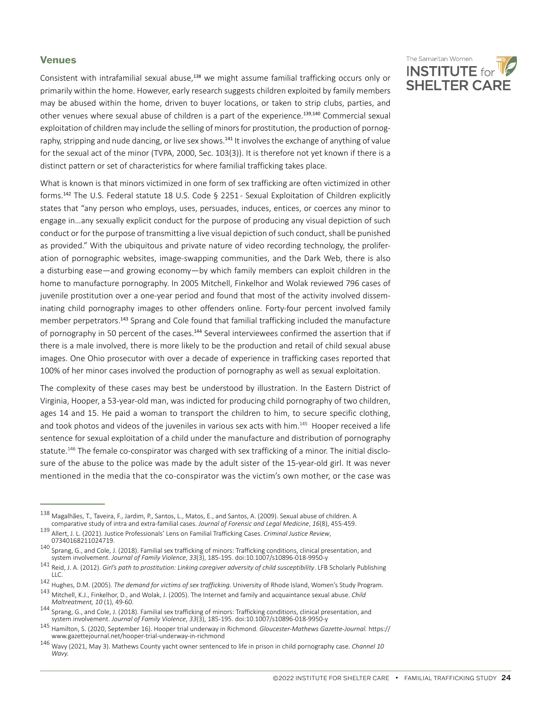### <span id="page-23-0"></span>**Venues**

Consistent with intrafamilial sexual abuse,<sup>138</sup> we might assume familial trafficking occurs only or primarily within the home. However, early research suggests children exploited by family members may be abused within the home, driven to buyer locations, or taken to strip clubs, parties, and other venues where sexual abuse of children is a part of the experience.<sup>139,140</sup> Commercial sexual exploitation of children may include the selling of minors for prostitution, the production of pornography, stripping and nude dancing, or live sex shows.<sup>141</sup> It involves the exchange of anything of value for the sexual act of the minor (TVPA, 2000, Sec. 103(3)). It is therefore not yet known if there is a distinct pattern or set of characteristics for where familial trafficking takes place.

What is known is that minors victimized in one form of sex trafficking are often victimized in other forms.<sup>142</sup> The U.S. Federal statute 18 U.S. Code § 2251 - Sexual Exploitation of Children explicitly states that "any person who employs, uses, persuades, induces, entices, or coerces any minor to engage in…any sexually explicit conduct for the purpose of producing any visual depiction of such conduct or for the purpose of transmitting a live visual depiction of such conduct, shall be punished as provided." With the ubiquitous and private nature of video recording technology, the proliferation of pornographic websites, image-swapping communities, and the Dark Web, there is also a disturbing ease—and growing economy—by which family members can exploit children in the home to manufacture pornography. In 2005 Mitchell, Finkelhor and Wolak reviewed 796 cases of juvenile prostitution over a one-year period and found that most of the activity involved disseminating child pornography images to other offenders online. Forty-four percent involved family member perpetrators.<sup>143</sup> Sprang and Cole found that familial trafficking included the manufacture of pornography in 50 percent of the cases.<sup>144</sup> Several interviewees confirmed the assertion that if there is a male involved, there is more likely to be the production and retail of child sexual abuse images. One Ohio prosecutor with over a decade of experience in trafficking cases reported that 100% of her minor cases involved the production of pornography as well as sexual exploitation.

The complexity of these cases may best be understood by illustration. In the Eastern District of Virginia, Hooper, a 53-year-old man, was indicted for producing child pornography of two children, ages 14 and 15. He paid a woman to transport the children to him, to secure specific clothing, and took photos and videos of the juveniles in various sex acts with him.<sup>145</sup> Hooper received a life sentence for sexual exploitation of a child under the manufacture and distribution of pornography statute.146 The female co-conspirator was charged with sex trafficking of a minor. The initial disclosure of the abuse to the police was made by the adult sister of the 15-year-old girl. It was never mentioned in the media that the co-conspirator was the victim's own mother, or the case was



<sup>138</sup> Magalhães, T., Taveira, F., Jardim, P., Santos, L., Matos, E., and Santos, A. (2009). Sexual abuse of children. A comparative study of intra and extra-familial cases. *Journal of Forensic and Legal Medicine*, *16*(8), 455-459.

<sup>139</sup> Allert, J. L. (2021). Justice Professionals' Lens on Familial Trafficking Cases. *Criminal Justice Review*, 07340168211024719.

<sup>&</sup>lt;sup>140</sup> Sprang, G., and Cole, J. (2018). Familial sex trafficking of minors: Trafficking conditions, clinical presentation, and<br>system involvement. *Journal of Family Violence*, 33(3), 185-195. doi:10.1007/s10896-018-9950-y

<sup>&</sup>lt;sup>141</sup> Reid, J. A. (2012). *Girl's path to prostitution: Linking caregiver adversity of child susceptibility*. LFB Scholarly Publishing<br>LLC.

<sup>142</sup> Hughes, D.M. (2005). *The demand for victims of sex trafficking*. University of Rhode Island, Women's Study Program. <sup>143</sup> Mitchell, K.J., Finkelhor, D., and Wolak, J. (2005). The Internet and family and acquaintance sexual abuse. *Child* 

<sup>&</sup>lt;sup>144</sup> Sprang, G., and Cole, J. (2018). Familial sex trafficking of minors: Trafficking conditions, clinical presentation, and<br>system involvement. *Journal of Family Violence*, 33(3), 185-195. doi:10.1007/s10896-018-9950-y

<sup>&</sup>lt;sup>145</sup> Hamilton, S. (2020, September 16). Hooper trial underway in Richmond. Gloucester-Mathews Gazette-Journal. https:// www.gazettejournal.net/hooper-trial-underway-in-richmond

<sup>146</sup> Wavy (2021, May 3). Mathews County yacht owner sentenced to life in prison in child pornography case. *Channel 10 Wavy.*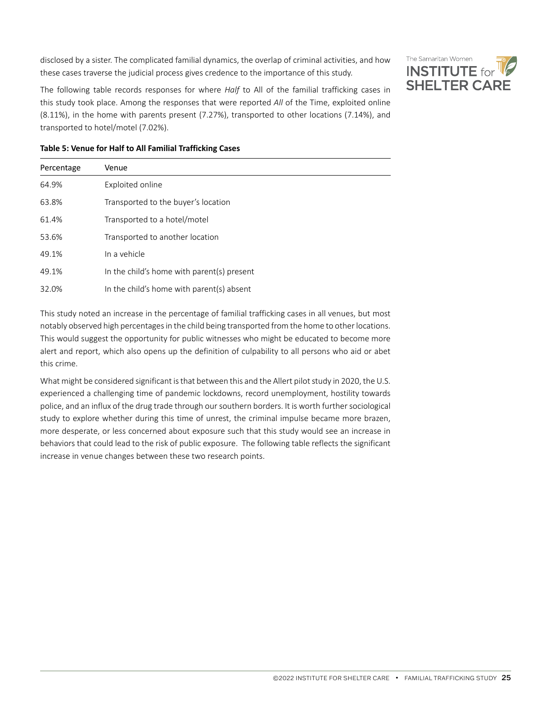disclosed by a sister. The complicated familial dynamics, the overlap of criminal activities, and how these cases traverse the judicial process gives credence to the importance of this study.



The following table records responses for where *Half* to All of the familial trafficking cases in this study took place. Among the responses that were reported *All* of the Time, exploited online (8.11%), in the home with parents present (7.27%), transported to other locations (7.14%), and transported to hotel/motel (7.02%).

| Percentage | Venue                                      |
|------------|--------------------------------------------|
| 64.9%      | Exploited online                           |
| 63.8%      | Transported to the buyer's location        |
| 61.4%      | Transported to a hotel/motel               |
| 53.6%      | Transported to another location            |
| 49.1%      | In a vehicle                               |
| 49.1%      | In the child's home with parent(s) present |
| 32.0%      | In the child's home with parent(s) absent  |

### **Table 5: Venue for Half to All Familial Trafficking Cases**

This study noted an increase in the percentage of familial trafficking cases in all venues, but most notably observed high percentages in the child being transported from the home to other locations. This would suggest the opportunity for public witnesses who might be educated to become more alert and report, which also opens up the definition of culpability to all persons who aid or abet this crime.

What might be considered significant is that between this and the Allert pilot study in 2020, the U.S. experienced a challenging time of pandemic lockdowns, record unemployment, hostility towards police, and an influx of the drug trade through our southern borders. It is worth further sociological study to explore whether during this time of unrest, the criminal impulse became more brazen, more desperate, or less concerned about exposure such that this study would see an increase in behaviors that could lead to the risk of public exposure. The following table reflects the significant increase in venue changes between these two research points.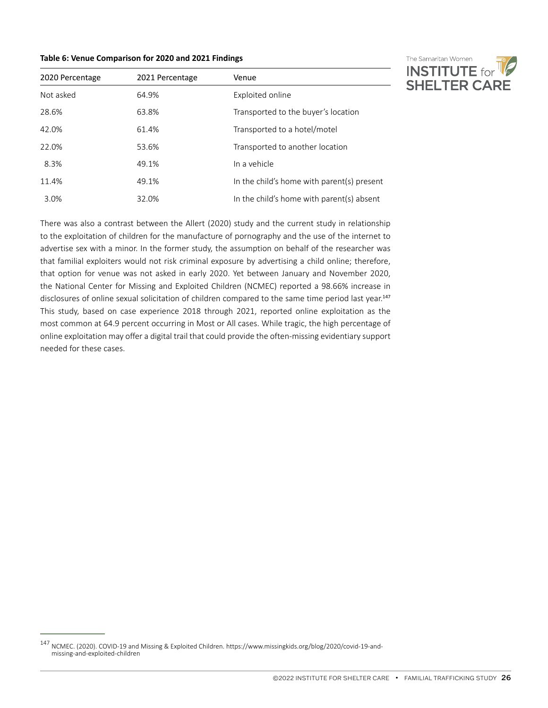#### **Table 6: Venue Comparison for 2020 and 2021 Findings**



| 2020 Percentage | 2021 Percentage | Venue                                      |
|-----------------|-----------------|--------------------------------------------|
| Not asked       | 64.9%           | Exploited online                           |
| 28.6%           | 63.8%           | Transported to the buyer's location        |
| 42.0%           | 61.4%           | Transported to a hotel/motel               |
| 22.0%           | 53.6%           | Transported to another location            |
| 8.3%            | 49.1%           | In a vehicle                               |
| 11.4%           | 49.1%           | In the child's home with parent(s) present |
| 3.0%            | 32.0%           | In the child's home with parent(s) absent  |

There was also a contrast between the Allert (2020) study and the current study in relationship to the exploitation of children for the manufacture of pornography and the use of the internet to advertise sex with a minor. In the former study, the assumption on behalf of the researcher was that familial exploiters would not risk criminal exposure by advertising a child online; therefore, that option for venue was not asked in early 2020. Yet between January and November 2020, the National Center for Missing and Exploited Children (NCMEC) reported a 98.66% increase in disclosures of online sexual solicitation of children compared to the same time period last year.<sup>147</sup> This study, based on case experience 2018 through 2021, reported online exploitation as the most common at 64.9 percent occurring in Most or All cases. While tragic, the high percentage of online exploitation may offer a digital trail that could provide the often-missing evidentiary support needed for these cases.

<sup>147</sup> NCMEC. (2020). COVID-19 and Missing & Exploited Children. https://www.missingkids.org/blog/2020/covid-19-andmissing-and-exploited-children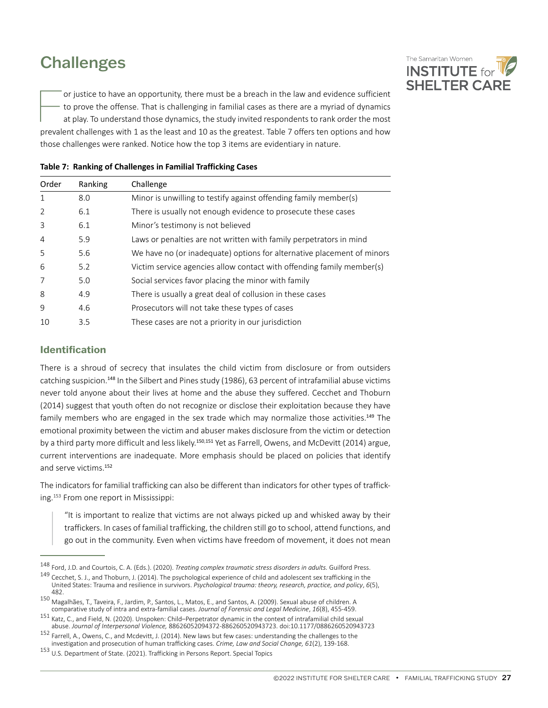# <span id="page-26-0"></span>**Challenges**



For justice to have an opportunity, there must be a breach in the law and evidence sufficient<br>to prove the offense. That is challenging in familial cases as there are a myriad of dynamics<br>at play. To understand those dynam to prove the offense. That is challenging in familial cases as there are a myriad of dynamics at play. To understand those dynamics, the study invited respondents to rank order the most prevalent challenges with 1 as the least and 10 as the greatest. Table 7 offers ten options and how those challenges were ranked. Notice how the top 3 items are evidentiary in nature.

|  | Table 7: Ranking of Challenges in Familial Trafficking Cases |  |  |  |  |
|--|--------------------------------------------------------------|--|--|--|--|
|--|--------------------------------------------------------------|--|--|--|--|

| Order          | Ranking | Challenge                                                              |
|----------------|---------|------------------------------------------------------------------------|
| 1              | 8.0     | Minor is unwilling to testify against offending family member(s)       |
| $\overline{2}$ | 6.1     | There is usually not enough evidence to prosecute these cases          |
| 3              | 6.1     | Minor's testimony is not believed                                      |
| $\overline{4}$ | 5.9     | Laws or penalties are not written with family perpetrators in mind     |
| .5             | 5.6     | We have no (or inadequate) options for alternative placement of minors |
| 6              | 5.2     | Victim service agencies allow contact with offending family member(s)  |
| 7              | 5.0     | Social services favor placing the minor with family                    |
| 8              | 4.9     | There is usually a great deal of collusion in these cases              |
| 9              | 4.6     | Prosecutors will not take these types of cases                         |
| 10             | 3.5     | These cases are not a priority in our jurisdiction                     |

## **Identification**

There is a shroud of secrecy that insulates the child victim from disclosure or from outsiders catching suspicion.<sup>148</sup> In the Silbert and Pines study (1986), 63 percent of intrafamilial abuse victims never told anyone about their lives at home and the abuse they suffered. Cecchet and Thoburn (2014) suggest that youth often do not recognize or disclose their exploitation because they have family members who are engaged in the sex trade which may normalize those activities.<sup>149</sup> The emotional proximity between the victim and abuser makes disclosure from the victim or detection by a third party more difficult and less likely.<sup>150,151</sup> Yet as Farrell, Owens, and McDevitt (2014) argue, current interventions are inadequate. More emphasis should be placed on policies that identify and serve victims.<sup>152</sup>

The indicators for familial trafficking can also be different than indicators for other types of trafficking.153 From one report in Mississippi:

"It is important to realize that victims are not always picked up and whisked away by their traffickers. In cases of familial trafficking, the children still go to school, attend functions, and go out in the community. Even when victims have freedom of movement, it does not mean

<sup>148</sup> Ford, J.D. and Courtois, C. A. (Eds.). (2020). *Treating complex traumatic stress disorders in adults.* Guilford Press.

<sup>&</sup>lt;sup>149</sup> Cecchet, S. J., and Thoburn, J. (2014). The psychological experience of child and adolescent sex trafficking in the United States: Trauma and resilience in survivors. *Psychological trauma: theory, research, practice, and policy*, *6*(5), 482.

<sup>150</sup> Magalhães, T., Taveira, F., Jardim, P., Santos, L., Matos, E., and Santos, A. (2009). Sexual abuse of children. A<br>Comparative study of intra and extra-familial cases. Journal of Forensic and Legal Medicine, 16(8), 455-

<sup>151</sup> Katz, C., and Field, N. (2020). Unspoken: Child-Perpetrator dynamic in the context of intrafamilial child sexual abuse. *Journal of Interpersonal Violence,* 88626052094372-886260520943723. doi:10.1177/0886260520943723

<sup>152</sup> Farrell, A., Owens, C., and Mcdevitt, J. (2014). New laws but few cases: understanding the challenges to the investigation and prosecution of human trafficking cases. *Crime, Law and Social Change, 61*(2), 139-168.

<sup>153</sup> U.S. Department of State. (2021). Trafficking in Persons Report. Special Topics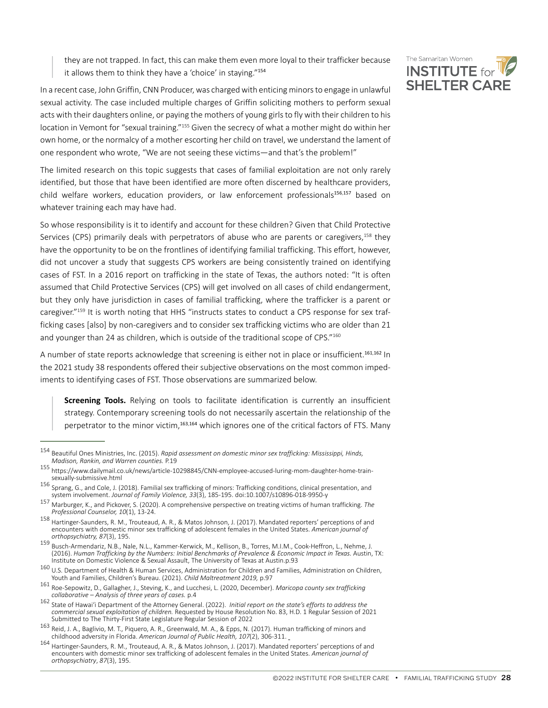they are not trapped. In fact, this can make them even more loyal to their trafficker because it allows them to think they have a 'choice' in staying."<sup>154</sup>



In a recent case, John Griffin, CNN Producer, was charged with enticing minors to engage in unlawful sexual activity. The case included multiple charges of Griffin soliciting mothers to perform sexual acts with their daughters online, or paying the mothers of young girls to fly with their children to his location in Vemont for "sexual training."<sup>155</sup> Given the secrecy of what a mother might do within her own home, or the normalcy of a mother escorting her child on travel, we understand the lament of one respondent who wrote, "We are not seeing these victims—and that's the problem!"

The limited research on this topic suggests that cases of familial exploitation are not only rarely identified, but those that have been identified are more often discerned by healthcare providers, child welfare workers, education providers, or law enforcement professionals<sup>156,157</sup> based on whatever training each may have had.

So whose responsibility is it to identify and account for these children? Given that Child Protective Services (CPS) primarily deals with perpetrators of abuse who are parents or caregivers,<sup>158</sup> they have the opportunity to be on the frontlines of identifying familial trafficking. This effort, however, did not uncover a study that suggests CPS workers are being consistently trained on identifying cases of FST. In a 2016 report on trafficking in the state of Texas, the authors noted: "It is often assumed that Child Protective Services (CPS) will get involved on all cases of child endangerment, but they only have jurisdiction in cases of familial trafficking, where the trafficker is a parent or caregiver."<sup>159</sup> It is worth noting that HHS "instructs states to conduct a CPS response for sex trafficking cases [also] by non-caregivers and to consider sex trafficking victims who are older than 21 and younger than 24 as children, which is outside of the traditional scope of CPS."<sup>160</sup>

A number of state reports acknowledge that screening is either not in place or insufficient.<sup>161,162</sup> In the 2021 study 38 respondents offered their subjective observations on the most common impediments to identifying cases of FST. Those observations are summarized below.

**Screening Tools.** Relying on tools to facilitate identification is currently an insufficient strategy. Contemporary screening tools do not necessarily ascertain the relationship of the perpetrator to the minor victim,<sup>163,164</sup> which ignores one of the critical factors of FTS. Many

160 U.S. Department of Health & Human Services, Administration for Children and Families, Administration on Children, Youth and Families, Children's Bureau. (2021). *Child Maltreatment 2019,* p.97

Beautiful Ones Ministries, Inc. (2015). *Rapid assessment on domestic minor sex trafficking: Mississippi, Hinds,*<br>Madison, Rankin, and Warren counties. P.19

*Madison, Rankin, and Warren counties.* P.19 <sup>155</sup> https://www.dailymail.co.uk/news/article-10298845/CNN-employee-accused-luring-mom-daughter-home-trainsexually-submissive.html

<sup>&</sup>lt;sup>156</sup> Sprang, G., and Cole, J. (2018). Familial sex trafficking of minors: Trafficking conditions, clinical presentation, and<br>system involvement. Journal of Family Violence, 33(3), 185-195. doi:10.1007/s10896-018-9950-y

<sup>157</sup> Marburger, K., and Pickover, S. (2020). A comprehensive perspective on treating victims of human trafficking. The *Professional Counselor, 10*(1), 13-24.

<sup>158</sup> Hartinger-Saunders, R. M., Trouteaud, A. R., & Matos Johnson, J. (2017). Mandated reporters' perceptions of and encounters with domestic minor sex trafficking of adolescent females in the United States. *American journal of orthopsychiatry, 87*(3), 195.

<sup>159</sup> Busch-Armendariz, N.B., Nale, N.L., Kammer-Kerwick, M., Kellison, B., Torres, M.I.M., Cook-Heffron, L., Nehme, J. (2016). *Human Trafficking by the Numbers: Initial Benchmarks of Prevalence & Economic Impact in Texas.* Austin, TX: Institute on Domestic Violence & Sexual Assault, The University of Texas at Austin.p.93

<sup>161</sup> Roe-Sepowitz, D., Gallagher, J., Steving, K., and Lucchesi, L. (2020, December). *Maricopa county sex trafficking collaborative – Analysis of three years of cases.* p.4

<sup>162</sup> State of Hawai'i Department of the Attorney General. (2022). *Initial report on the state's efforts to address the commercial sexual exploitation of children.* Requested by House Resolution No. 83, H.D. 1 Regular Session of 2021 Submitted to The Thirty-First State Legislature Regular Session of 2022

<sup>163</sup> Reid, J. A., Baglivio, M. T., Piquero, A. R., Greenwald, M. A., & Epps, N. (2017). Human trafficking of minors and childhood adversity in Florida. *American Journal of Public Health, 107*(2), 306-311.

<sup>164</sup> Hartinger-Saunders, R. M., Trouteaud, A. R., & Matos Johnson, J. (2017). Mandated reporters' perceptions of and encounters with domestic minor sex trafficking of adolescent females in the United States. *American journal of orthopsychiatry*, *87*(3), 195.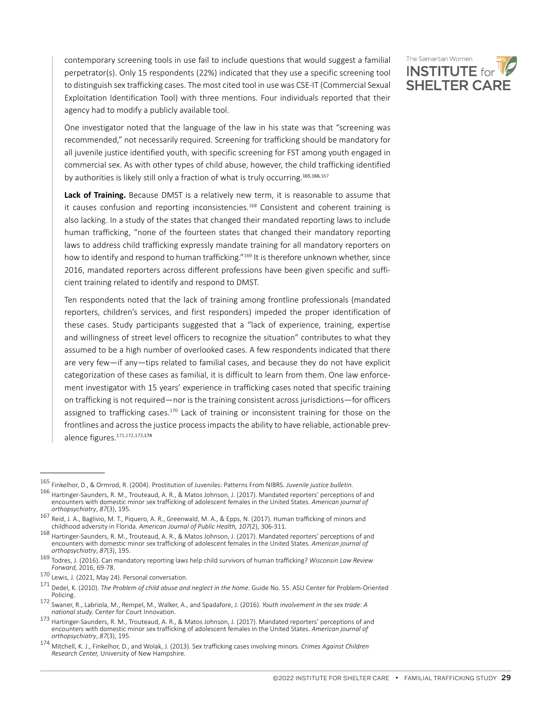contemporary screening tools in use fail to include questions that would suggest a familial perpetrator(s). Only 15 respondents (22%) indicated that they use a specific screening tool to distinguish sex trafficking cases. The most cited tool in use was CSE-IT (Commercial Sexual Exploitation Identification Tool) with three mentions. Four individuals reported that their agency had to modify a publicly available tool.



One investigator noted that the language of the law in his state was that "screening was recommended," not necessarily required. Screening for trafficking should be mandatory for all juvenile justice identified youth, with specific screening for FST among youth engaged in commercial sex. As with other types of child abuse, however, the child trafficking identified by authorities is likely still only a fraction of what is truly occurring.<sup>165</sup>,166,167

**Lack of Training.** Because DMST is a relatively new term, it is reasonable to assume that it causes confusion and reporting inconsistencies.<sup>168</sup> Consistent and coherent training is also lacking. In a study of the states that changed their mandated reporting laws to include human trafficking, "none of the fourteen states that changed their mandatory reporting laws to address child trafficking expressly mandate training for all mandatory reporters on how to identify and respond to human trafficking."<sup>169</sup> It is therefore unknown whether, since 2016, mandated reporters across different professions have been given specific and sufficient training related to identify and respond to DMST.

Ten respondents noted that the lack of training among frontline professionals (mandated reporters, children's services, and first responders) impeded the proper identification of these cases. Study participants suggested that a "lack of experience, training, expertise and willingness of street level officers to recognize the situation" contributes to what they assumed to be a high number of overlooked cases. A few respondents indicated that there are very few—if any—tips related to familial cases, and because they do not have explicit categorization of these cases as familial, it is difficult to learn from them. One law enforcement investigator with 15 years' experience in trafficking cases noted that specific training on trafficking is not required—nor is the training consistent across jurisdictions—for officers assigned to trafficking cases.<sup>170</sup> Lack of training or inconsistent training for those on the frontlines and across the justice process impacts the ability to have reliable, actionable prevalence figures.171,172,173,<sup>174</sup>

<sup>165</sup> Finkelhor, D., & Ormrod, R. (2004). Prostitution of Juveniles: Patterns From NIBRS. *Juvenile justice bulletin.* 

<sup>166</sup> Hartinger-Saunders, R. M., Trouteaud, A. R., & Matos Johnson, J. (2017). Mandated reporters' perceptions of and encounters with domestic minor sex trafficking of adolescent females in the United States. *American journal of orthopsychiatry*, *87*(3), 195.

<sup>167</sup> Reid, J. A., Baglivio, M. T., Piquero, A. R., Greenwald, M. A., & Epps, N. (2017). Human trafficking of minors and childhood adversity in Florida. *American Journal of Public Health, 107*(2), 306-311.

<sup>168</sup> Hartinger-Saunders, R. M., Trouteaud, A. R., & Matos Johnson, J. (2017). Mandated reporters' perceptions of and encounters with domestic minor sex trafficking of adolescent females in the United States. *American journal of orthopsychiatry*, *87*(3), 195.

<sup>169</sup> Todres, J. (2016). Can mandatory reporting laws help child survivors of human trafficking? *Wisconsin Law Review Forward,* 2016, 69-78.

<sup>&</sup>lt;sup>171</sup> Dedel, K. (2010). *The Problem of child abuse and neglect in the home.* Guide No. 55. ASU Center for Problem-Oriented<br>Policing.

<sup>&</sup>lt;sup>172</sup> Swaner, R., Labriola, M., Rempel, M., Walker, A., and Spadafore, J. (2016). *Youth involvement in the sex trade: A national study.* Center for Court Innovation.

<sup>173</sup> Hartinger-Saunders, R. M., Trouteaud, A. R., & Matos Johnson, J. (2017). Mandated reporters' perceptions of and encounters with domestic minor sex trafficking of adolescent females in the United States. *American journal of* 

*orthopsychiatry*, *<sup>87</sup>*(3), 195. 174 Mitchell, K. J., Finkelhor, D., and Wolak, J. (2013). Sex trafficking cases involving minors. *Crimes Against Children Research Center,* University of New Hampshire.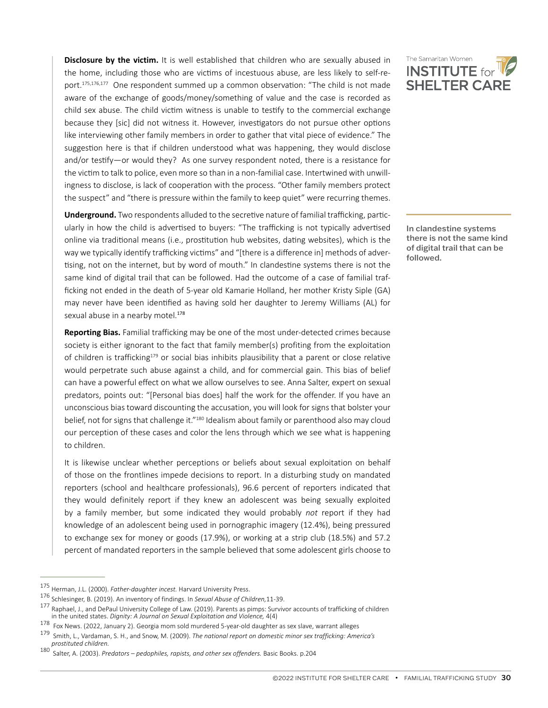**Disclosure by the victim.** It is well established that children who are sexually abused in the home, including those who are victims of incestuous abuse, are less likely to self-report.175,176,177 One respondent summed up a common observation: "The child is not made aware of the exchange of goods/money/something of value and the case is recorded as child sex abuse. The child victim witness is unable to testify to the commercial exchange because they [sic] did not witness it. However, investigators do not pursue other options like interviewing other family members in order to gather that vital piece of evidence." The suggestion here is that if children understood what was happening, they would disclose and/or testify—or would they? As one survey respondent noted, there is a resistance for the victim to talk to police, even more so than in a non-familial case. Intertwined with unwillingness to disclose, is lack of cooperation with the process. "Other family members protect the suspect" and "there is pressure within the family to keep quiet" were recurring themes.

**Underground.** Two respondents alluded to the secretive nature of familial trafficking, particularly in how the child is advertised to buyers: "The trafficking is not typically advertised online via traditional means (i.e., prostitution hub websites, dating websites), which is the way we typically identify trafficking victims" and "[there is a difference in] methods of advertising, not on the internet, but by word of mouth." In clandestine systems there is not the same kind of digital trail that can be followed. Had the outcome of a case of familial trafficking not ended in the death of 5-year old Kamarie Holland, her mother Kristy Siple (GA) may never have been identified as having sold her daughter to Jeremy Williams (AL) for sexual abuse in a nearby motel.<sup>178</sup>

**Reporting Bias.** Familial trafficking may be one of the most under-detected crimes because society is either ignorant to the fact that family member(s) profiting from the exploitation of children is trafficking179 or social bias inhibits plausibility that a parent or close relative would perpetrate such abuse against a child, and for commercial gain. This bias of belief can have a powerful effect on what we allow ourselves to see. Anna Salter, expert on sexual predators, points out: "[Personal bias does] half the work for the offender. If you have an unconscious bias toward discounting the accusation, you will look for signs that bolster your belief, not for signs that challenge it."180 Idealism about family or parenthood also may cloud our perception of these cases and color the lens through which we see what is happening to children.

It is likewise unclear whether perceptions or beliefs about sexual exploitation on behalf of those on the frontlines impede decisions to report. In a disturbing study on mandated reporters (school and healthcare professionals), 96.6 percent of reporters indicated that they would definitely report if they knew an adolescent was being sexually exploited by a family member, but some indicated they would probably *not* report if they had knowledge of an adolescent being used in pornographic imagery (12.4%), being pressured to exchange sex for money or goods (17.9%), or working at a strip club (18.5%) and 57.2 percent of mandated reporters in the sample believed that some adolescent girls choose to



In clandestine systems there is not the same kind of digital trail that can be followed.

<sup>175</sup> Herman, J.L. (2000). *Father-daughter incest.* Harvard University Press.

Raphael, J., and DePaul University College of Law. (2019). Parents as pimps: Survivor accounts of trafficking of children in the united states. *Dignity: A Journal on Sexual Exploitation and Violence,* 4(4)

<sup>178</sup> Fox News. (2022, January 2). Georgia mom sold murdered 5-year-old daughter as sex slave, warrant alleges

<sup>179</sup> Smith, L., Vardaman, S. H., and Snow, M. (2009). *The national report on domestic minor sex trafficking: America's prostituted children.*

<sup>180</sup> Salter, A. (2003). *Predators – pedophiles, rapists, and other sex offenders.* Basic Books. p.204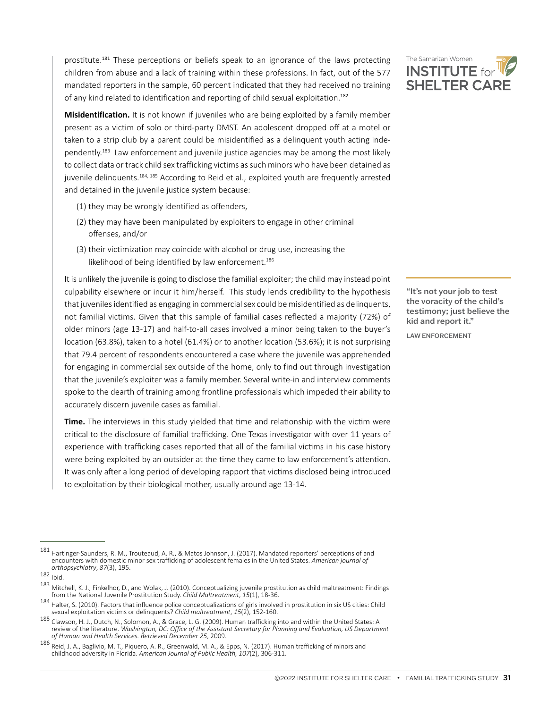prostitute.<sup>181</sup> These perceptions or beliefs speak to an ignorance of the laws protecting children from abuse and a lack of training within these professions. In fact, out of the 577 mandated reporters in the sample, 60 percent indicated that they had received no training of any kind related to identification and reporting of child sexual exploitation.<sup>182</sup>

**Misidentification.** It is not known if juveniles who are being exploited by a family member present as a victim of solo or third-party DMST. An adolescent dropped off at a motel or taken to a strip club by a parent could be misidentified as a delinquent youth acting independently.<sup>183</sup> Law enforcement and juvenile justice agencies may be among the most likely to collect data or track child sex trafficking victims as such minors who have been detained as juvenile delinquents.<sup>184, 185</sup> According to Reid et al., exploited youth are frequently arrested and detained in the juvenile justice system because:

- (1) they may be wrongly identified as offenders,
- (2) they may have been manipulated by exploiters to engage in other criminal offenses, and/or
- (3) their victimization may coincide with alcohol or drug use, increasing the likelihood of being identified by law enforcement.<sup>186</sup>

It is unlikely the juvenile is going to disclose the familial exploiter; the child may instead point culpability elsewhere or incur it him/herself. This study lends credibility to the hypothesis that juveniles identified as engaging in commercial sex could be misidentified as delinquents, not familial victims. Given that this sample of familial cases reflected a majority (72%) of older minors (age 13-17) and half-to-all cases involved a minor being taken to the buyer's location (63.8%), taken to a hotel (61.4%) or to another location (53.6%); it is not surprising that 79.4 percent of respondents encountered a case where the juvenile was apprehended for engaging in commercial sex outside of the home, only to find out through investigation that the juvenile's exploiter was a family member. Several write-in and interview comments spoke to the dearth of training among frontline professionals which impeded their ability to accurately discern juvenile cases as familial.

**Time.** The interviews in this study yielded that time and relationship with the victim were critical to the disclosure of familial trafficking. One Texas investigator with over 11 years of experience with trafficking cases reported that all of the familial victims in his case history were being exploited by an outsider at the time they came to law enforcement's attention. It was only after a long period of developing rapport that victims disclosed being introduced to exploitation by their biological mother, usually around age 13-14.



"It's not your job to test the voracity of the child's testimony; just believe the kid and report it."

LAW ENFORCEMENT

<sup>181</sup> Hartinger-Saunders, R. M., Trouteaud, A. R., & Matos Johnson, J. (2017). Mandated reporters' perceptions of and encounters with domestic minor sex trafficking of adolescent females in the United States. *American journal of orthopsychiatry*, *87*(3), 195.

<sup>182</sup> Ibid.

<sup>183</sup> Mitchell, K. J., Finkelhor, D., and Wolak, J. (2010). Conceptualizing juvenile prostitution as child maltreatment: Findings from the National Juvenile Prostitution Study. *Child Maltreatment*, *15*(1), 18-36.

<sup>184</sup> Halter, S. (2010). Factors that influence police conceptualizations of girls involved in prostitution in six US cities: Child sexual exploitation victims or delinquents? *Child maltreatment*, *15*(2), 152-160.

<sup>185</sup> Clawson, H. J., Dutch, N., Solomon, A., & Grace, L. G. (2009). Human trafficking into and within the United States: A review of the literature. *Washington, DC: Office of the Assistant Secretary for Planning and Evaluation, US Department of Human and Health Services. Retrieved December 25*, 2009.

<sup>186</sup> Reid, J. A., Baglivio, M. T., Piquero, A. R., Greenwald, M. A., & Epps, N. (2017). Human trafficking of minors and childhood adversity in Florida. *American Journal of Public Health, 107*(2), 306-311.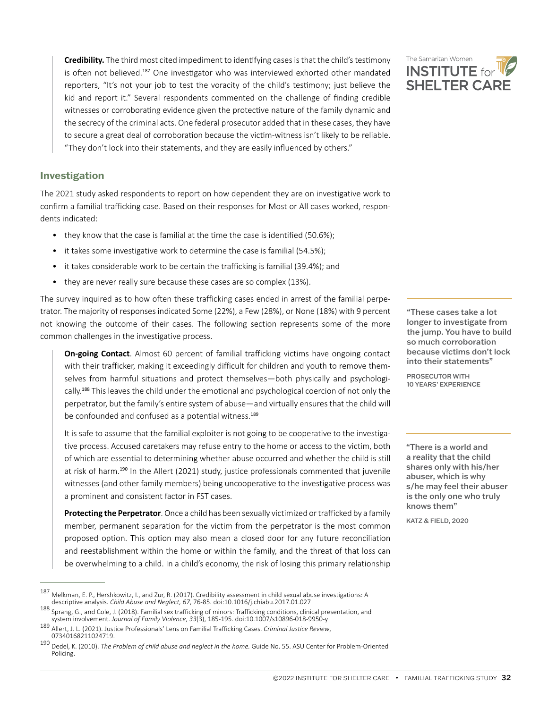<span id="page-31-0"></span>**Credibility.** The third most cited impediment to identifying cases is that the child's testimony is often not believed.<sup>187</sup> One investigator who was interviewed exhorted other mandated reporters, "It's not your job to test the voracity of the child's testimony; just believe the kid and report it." Several respondents commented on the challenge of finding credible witnesses or corroborating evidence given the protective nature of the family dynamic and the secrecy of the criminal acts. One federal prosecutor added that in these cases, they have to secure a great deal of corroboration because the victim-witness isn't likely to be reliable. "They don't lock into their statements, and they are easily influenced by others."

### **Investigation**

The 2021 study asked respondents to report on how dependent they are on investigative work to confirm a familial trafficking case. Based on their responses for Most or All cases worked, respondents indicated:

- they know that the case is familial at the time the case is identified (50.6%);
- it takes some investigative work to determine the case is familial (54.5%);
- it takes considerable work to be certain the trafficking is familial (39.4%); and
- they are never really sure because these cases are so complex (13%).

The survey inquired as to how often these trafficking cases ended in arrest of the familial perpetrator. The majority of responses indicated Some (22%), a Few (28%), or None (18%) with 9 percent not knowing the outcome of their cases. The following section represents some of the more common challenges in the investigative process.

**On-going Contact**. Almost 60 percent of familial trafficking victims have ongoing contact with their trafficker, making it exceedingly difficult for children and youth to remove themselves from harmful situations and protect themselves—both physically and psychologically.<sup>188</sup> This leaves the child under the emotional and psychological coercion of not only the perpetrator, but the family's entire system of abuse—and virtually ensures that the child will be confounded and confused as a potential witness.<sup>189</sup>

It is safe to assume that the familial exploiter is not going to be cooperative to the investigative process. Accused caretakers may refuse entry to the home or access to the victim, both of which are essential to determining whether abuse occurred and whether the child is still at risk of harm.<sup>190</sup> In the Allert (2021) study, justice professionals commented that juvenile witnesses (and other family members) being uncooperative to the investigative process was a prominent and consistent factor in FST cases.

**Protecting the Perpetrator**. Once a child has been sexually victimized or trafficked by a family member, permanent separation for the victim from the perpetrator is the most common proposed option. This option may also mean a closed door for any future reconciliation and reestablishment within the home or within the family, and the threat of that loss can be overwhelming to a child. In a child's economy, the risk of losing this primary relationship



"These cases take a lot longer to investigate from the jump. You have to build so much corroboration because victims don't lock into their statements"

PROSECUTOR WITH 10 YEARS' EXPERIENCE

"There is a world and a reality that the child shares only with his/her abuser, which is why s/he may feel their abuser is the only one who truly knows them"

KATZ & FIELD, 2020

<sup>187</sup> Melkman, E. P., Hershkowitz, I., and Zur, R. (2017). Credibility assessment in child sexual abuse investigations: A descriptive analysis. *Child Abuse and Neglect, 67*, 76-85. doi:10.1016/j.chiabu.2017.01.027

<sup>188</sup> Sprang, G., and Cole, J. (2018). Familial sex trafficking of minors: Trafficking conditions, clinical presentation, and system involvement. *Journal of Family Violence*, *33*(3), 185-195. doi:10.1007/s10896-018-9950-y

<sup>189</sup> Allert, J. L. (2021). Justice Professionals' Lens on Familial Trafficking Cases. *Criminal Justice Review*, 07340168211024719.

<sup>190</sup> Dedel, K. (2010). *The Problem of child abuse and neglect in the home.* Guide No. 55. ASU Center for Problem-Oriented Policing.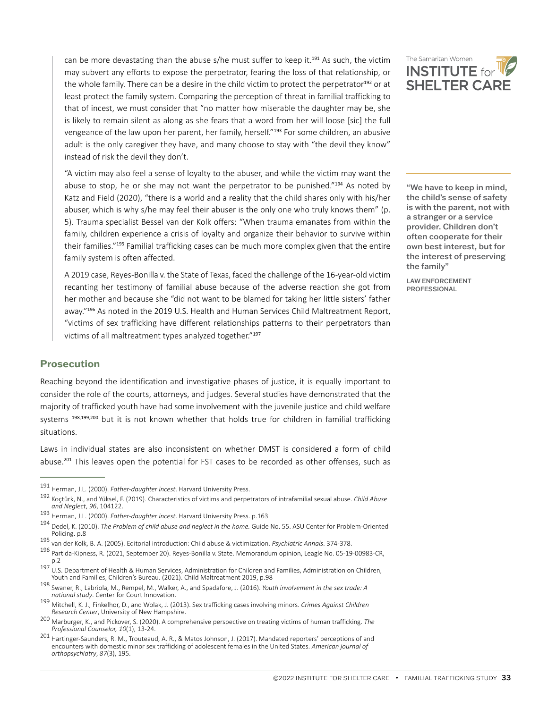<span id="page-32-0"></span>can be more devastating than the abuse s/he must suffer to keep it.<sup>191</sup> As such, the victim may subvert any efforts to expose the perpetrator, fearing the loss of that relationship, or the whole family. There can be a desire in the child victim to protect the perpetrator<sup>192</sup> or at least protect the family system. Comparing the perception of threat in familial trafficking to that of incest, we must consider that "no matter how miserable the daughter may be, she is likely to remain silent as along as she fears that a word from her will loose [sic] the full vengeance of the law upon her parent, her family, herself."<sup>193</sup> For some children, an abusive adult is the only caregiver they have, and many choose to stay with "the devil they know" instead of risk the devil they don't.

"A victim may also feel a sense of loyalty to the abuser, and while the victim may want the abuse to stop, he or she may not want the perpetrator to be punished."<sup>194</sup> As noted by Katz and Field (2020), "there is a world and a reality that the child shares only with his/her abuser, which is why s/he may feel their abuser is the only one who truly knows them" (p. 5). Trauma specialist Bessel van der Kolk offers: "When trauma emanates from within the family, children experience a crisis of loyalty and organize their behavior to survive within their families."<sup>195</sup> Familial trafficking cases can be much more complex given that the entire family system is often affected.

A 2019 case, Reyes-Bonilla v. the State of Texas, faced the challenge of the 16-year-old victim recanting her testimony of familial abuse because of the adverse reaction she got from her mother and because she "did not want to be blamed for taking her little sisters' father away."<sup>196</sup> As noted in the 2019 U.S. Health and Human Services Child Maltreatment Report, "victims of sex trafficking have different relationships patterns to their perpetrators than victims of all maltreatment types analyzed together."<sup>197</sup>

## **Prosecution**

Reaching beyond the identification and investigative phases of justice, it is equally important to consider the role of the courts, attorneys, and judges. Several studies have demonstrated that the majority of trafficked youth have had some involvement with the juvenile justice and child welfare systems <sup>198,199,200</sup> but it is not known whether that holds true for children in familial trafficking situations.

Laws in individual states are also inconsistent on whether DMST is considered a form of child abuse.<sup>201</sup> This leaves open the potential for FST cases to be recorded as other offenses, such as



"We have to keep in mind, the child's sense of safety is with the parent, not with a stranger or a service provider. Children don't often cooperate for their own best interest, but for the interest of preserving the family"

LAW ENFORCEMENT PROFESSIONAL

<sup>191</sup> Herman, J.L. (2000). *Father-daughter incest*. Harvard University Press.

<sup>192</sup> Koçtürk, N., and Yüksel, F. (2019). Characteristics of victims and perpetrators of intrafamilial sexual abuse. *Child Abuse and Neglect*, *96*, 104122.

<sup>193</sup> Herman, J.L. (2000). *Father-daughter incest*. Harvard University Press. p.163

<sup>194</sup> Dedel, K. (2010). *The Problem of child abuse and neglect in the home.* Guide No. 55. ASU Center for Problem-Oriented Policing. p.8

<sup>195</sup> van der Kolk, B. A. (2005). Editorial introduction: Child abuse & victimization. *Psychiatric Annals*. 374-378.

<sup>196</sup> Partida-Kipness, R. (2021, September 20). Reyes-Bonilla v. State. Memorandum opinion, Leagle No. 05-19-00983-CR, p.2

<sup>197</sup> U.S. Department of Health & Human Services, Administration for Children and Families, Administration on Children, Youth and Families, Children's Bureau. (2021). Child Maltreatment 2019, p.98

<sup>198</sup> Swaner, R., Labriola, M., Rempel, M., Walker, A., and Spadafore, J. (2016). *Youth involvement in the sex trade: A national study*. Center for Court Innovation.

<sup>199</sup> Mitchell, K. J., Finkelhor, D., and Wolak, J. (2013). Sex trafficking cases involving minors. *Crimes Against Children Research Center*, University of New Hampshire.

<sup>200</sup> Marburger, K., and Pickover, S. (2020). A comprehensive perspective on treating victims of human trafficking. *The Professional Counselor, 10*(1), 13-24.

<sup>201</sup> Hartinger-Saunders, R. M., Trouteaud, A. R., & Matos Johnson, J. (2017). Mandated reporters' perceptions of and encounters with domestic minor sex trafficking of adolescent females in the United States. *American journal of orthopsychiatry*, *87*(3), 195.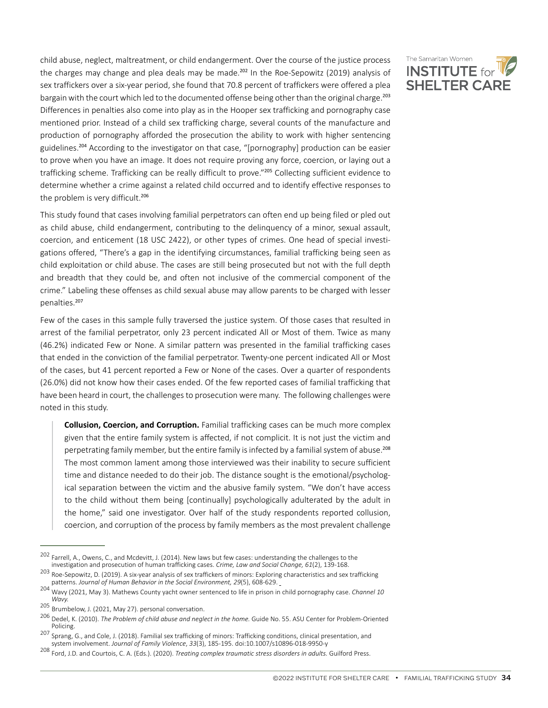child abuse, neglect, maltreatment, or child endangerment. Over the course of the justice process the charges may change and plea deals may be made.<sup>202</sup> In the Roe-Sepowitz (2019) analysis of sex traffickers over a six-year period, she found that 70.8 percent of traffickers were offered a plea bargain with the court which led to the documented offense being other than the original charge.<sup>203</sup> Differences in penalties also come into play as in the Hooper sex trafficking and pornography case mentioned prior. Instead of a child sex trafficking charge, several counts of the manufacture and production of pornography afforded the prosecution the ability to work with higher sentencing guidelines.<sup>204</sup> According to the investigator on that case, "[pornography] production can be easier to prove when you have an image. It does not require proving any force, coercion, or laying out a trafficking scheme. Trafficking can be really difficult to prove."205 Collecting sufficient evidence to determine whether a crime against a related child occurred and to identify effective responses to the problem is very difficult.<sup>206</sup>

This study found that cases involving familial perpetrators can often end up being filed or pled out as child abuse, child endangerment, contributing to the delinquency of a minor, sexual assault, coercion, and enticement (18 USC 2422), or other types of crimes. One head of special investigations offered, "There's a gap in the identifying circumstances, familial trafficking being seen as child exploitation or child abuse. The cases are still being prosecuted but not with the full depth and breadth that they could be, and often not inclusive of the commercial component of the crime." Labeling these offenses as child sexual abuse may allow parents to be charged with lesser penalties.<sup>207</sup>

Few of the cases in this sample fully traversed the justice system. Of those cases that resulted in arrest of the familial perpetrator, only 23 percent indicated All or Most of them. Twice as many (46.2%) indicated Few or None. A similar pattern was presented in the familial trafficking cases that ended in the conviction of the familial perpetrator. Twenty-one percent indicated All or Most of the cases, but 41 percent reported a Few or None of the cases. Over a quarter of respondents (26.0%) did not know how their cases ended. Of the few reported cases of familial trafficking that have been heard in court, the challenges to prosecution were many. The following challenges were noted in this study.

**Collusion, Coercion, and Corruption.** Familial trafficking cases can be much more complex given that the entire family system is affected, if not complicit. It is not just the victim and perpetrating family member, but the entire family is infected by a familial system of abuse.<sup>208</sup> The most common lament among those interviewed was their inability to secure sufficient time and distance needed to do their job. The distance sought is the emotional/psychological separation between the victim and the abusive family system. "We don't have access to the child without them being [continually] psychologically adulterated by the adult in the home," said one investigator. Over half of the study respondents reported collusion, coercion, and corruption of the process by family members as the most prevalent challenge



<sup>202</sup> Farrell, A., Owens, C., and Mcdevitt, J. (2014). New laws but few cases: understanding the challenges to the investigation and prosecution of human trafficking cases. *Crime, Law and Social Change, 61*(2), 139-168.

<sup>&</sup>lt;sup>203</sup> Roe-Sepowitz, D. (2019). A six-year analysis of sex traffickers of minors: Exploring characteristics and sex trafficking patterns. *Journal of Human Behavior in the Social Environment, 29*(5), 608-629.

<sup>204</sup> Wavy (2021, May 3). Mathews County yacht owner sentenced to life in prison in child pornography case. *Channel 10 Wavy.*

<sup>205</sup> Brumbelow, J. (2021, May 27). personal conversation.

<sup>206</sup> Dedel, K. (2010). *The Problem of child abuse and neglect in the home.* Guide No. 55. ASU Center for Problem-Oriented Policing.

<sup>207</sup> Sprang, G., and Cole, J. (2018). Familial sex trafficking of minors: Trafficking conditions, clinical presentation, and system involvement. *Journal of Family Violence*, *33*(3), 185-195. doi:10.1007/s10896-018-9950-y

<sup>208</sup> Ford, J.D. and Courtois, C. A. (Eds.). (2020). *Treating complex traumatic stress disorders in adults.* Guilford Press.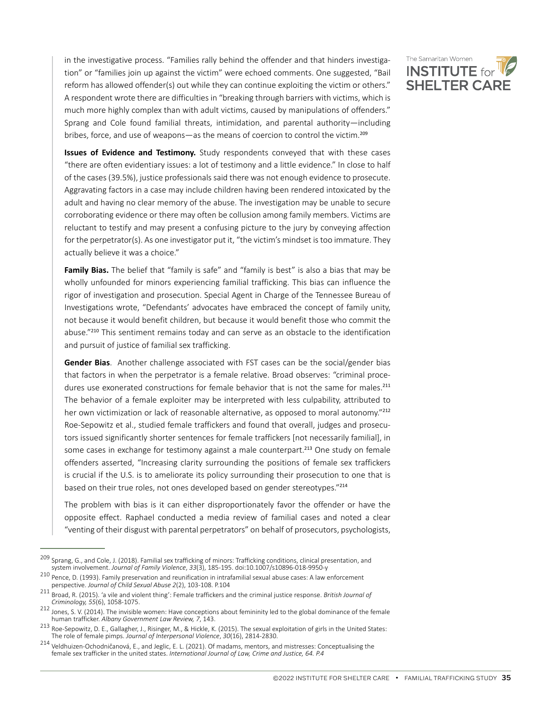in the investigative process. "Families rally behind the offender and that hinders investigation" or "families join up against the victim" were echoed comments. One suggested, "Bail reform has allowed offender(s) out while they can continue exploiting the victim or others." A respondent wrote there are difficulties in "breaking through barriers with victims, which is much more highly complex than with adult victims, caused by manipulations of offenders." Sprang and Cole found familial threats, intimidation, and parental authority—including bribes, force, and use of weapons—as the means of coercion to control the victim.<sup>209</sup>



Family Bias. The belief that "family is safe" and "family is best" is also a bias that may be wholly unfounded for minors experiencing familial trafficking. This bias can influence the rigor of investigation and prosecution. Special Agent in Charge of the Tennessee Bureau of Investigations wrote, "Defendants' advocates have embraced the concept of family unity, not because it would benefit children, but because it would benefit those who commit the abuse."<sup>210</sup> This sentiment remains today and can serve as an obstacle to the identification and pursuit of justice of familial sex trafficking.

**Gender Bias**. Another challenge associated with FST cases can be the social/gender bias that factors in when the perpetrator is a female relative. Broad observes: "criminal procedures use exonerated constructions for female behavior that is not the same for males.<sup>211</sup> The behavior of a female exploiter may be interpreted with less culpability, attributed to her own victimization or lack of reasonable alternative, as opposed to moral autonomy."212 Roe-Sepowitz et al., studied female traffickers and found that overall, judges and prosecutors issued significantly shorter sentences for female traffickers [not necessarily familial], in some cases in exchange for testimony against a male counterpart.<sup>213</sup> One study on female offenders asserted, "Increasing clarity surrounding the positions of female sex traffickers is crucial if the U.S. is to ameliorate its policy surrounding their prosecution to one that is based on their true roles, not ones developed based on gender stereotypes."<sup>214</sup>

The problem with bias is it can either disproportionately favor the offender or have the opposite effect. Raphael conducted a media review of familial cases and noted a clear "venting of their disgust with parental perpetrators" on behalf of prosecutors, psychologists,



<sup>&</sup>lt;sup>209</sup> Sprang, G., and Cole, J. (2018). Familial sex trafficking of minors: Trafficking conditions, clinical presentation, and system involvement. *Journal of Family Violence*, *33*(3), 185-195. doi:10.1007/s10896-018-9950-y

<sup>&</sup>lt;sup>210</sup> Pence, D. (1993). Family preservation and reunification in intrafamilial sexual abuse cases: A law enforcement perspective. Journal of Child Sexual Abuse 2(2), 103-108. P.104

perspective. *Journal of Child Sexual Abuse 2*(2), 103-108. P.104 <sup>211</sup> Broad, R. (2015). 'a vile and violent thing': Female traffickers and the criminal justice response. *British Journal of* 

<sup>&</sup>lt;sup>212</sup> Jones, S. V. (2014). The invisible women: Have conceptions about femininity led to the global dominance of the female human trafficker. *Albany Government Law Review, 7*, 143.

<sup>213</sup> Roe-Sepowitz, D. E., Gallagher, J., Risinger, M., & Hickle, K. (2015). The sexual exploitation of girls in the United States:<br>The role of female pimps. Journal of Interpersonal Violence, 30(16), 2814-2830.

<sup>&</sup>lt;sup>214</sup> Veldhuizen-Ochodničanová, E., and Jeglic, E. L. (2021). Of madams, mentors, and mistresses: Conceptualising the female sex trafficker in the united states. *International Journal of Law, Crime and Justice, 64. P.4*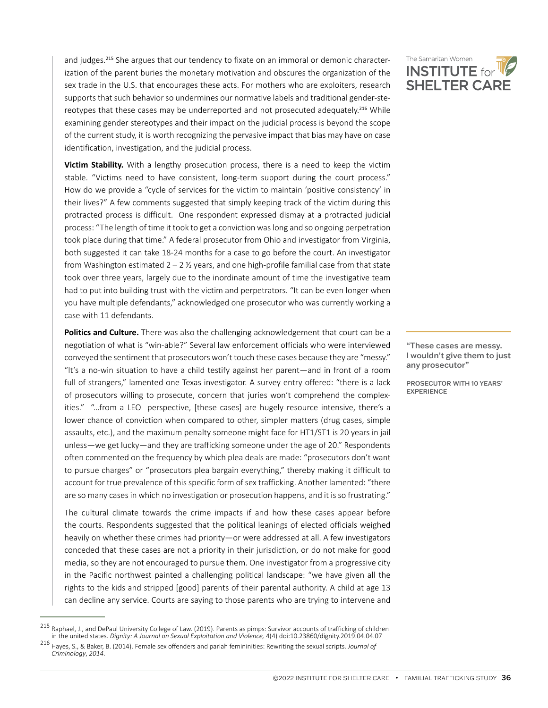and judges.<sup>215</sup> She argues that our tendency to fixate on an immoral or demonic characterization of the parent buries the monetary motivation and obscures the organization of the sex trade in the U.S. that encourages these acts. For mothers who are exploiters, research supports that such behavior so undermines our normative labels and traditional gender-stereotypes that these cases may be underreported and not prosecuted adequately.<sup>216</sup> While examining gender stereotypes and their impact on the judicial process is beyond the scope of the current study, it is worth recognizing the pervasive impact that bias may have on case identification, investigation, and the judicial process.

**Victim Stability.** With a lengthy prosecution process, there is a need to keep the victim stable. "Victims need to have consistent, long-term support during the court process." How do we provide a "cycle of services for the victim to maintain 'positive consistency' in their lives?" A few comments suggested that simply keeping track of the victim during this protracted process is difficult. One respondent expressed dismay at a protracted judicial process: "The length of time it took to get a conviction was long and so ongoing perpetration took place during that time." A federal prosecutor from Ohio and investigator from Virginia, both suggested it can take 18-24 months for a case to go before the court. An investigator from Washington estimated  $2 - 2$  % years, and one high-profile familial case from that state took over three years, largely due to the inordinate amount of time the investigative team had to put into building trust with the victim and perpetrators. "It can be even longer when you have multiple defendants," acknowledged one prosecutor who was currently working a case with 11 defendants.

**Politics and Culture.** There was also the challenging acknowledgement that court can be a negotiation of what is "win-able?" Several law enforcement officials who were interviewed conveyed the sentiment that prosecutors won't touch these cases because they are "messy." "It's a no-win situation to have a child testify against her parent—and in front of a room full of strangers," lamented one Texas investigator. A survey entry offered: "there is a lack of prosecutors willing to prosecute, concern that juries won't comprehend the complexities." "…from a LEO perspective, [these cases] are hugely resource intensive, there's a lower chance of conviction when compared to other, simpler matters (drug cases, simple assaults, etc.), and the maximum penalty someone might face for HT1/ST1 is 20 years in jail unless—we get lucky—and they are trafficking someone under the age of 20." Respondents often commented on the frequency by which plea deals are made: "prosecutors don't want to pursue charges" or "prosecutors plea bargain everything," thereby making it difficult to account for true prevalence of this specific form of sex trafficking. Another lamented: "there are so many cases in which no investigation or prosecution happens, and it is so frustrating."

The cultural climate towards the crime impacts if and how these cases appear before the courts. Respondents suggested that the political leanings of elected officials weighed heavily on whether these crimes had priority—or were addressed at all. A few investigators conceded that these cases are not a priority in their jurisdiction, or do not make for good media, so they are not encouraged to pursue them. One investigator from a progressive city in the Pacific northwest painted a challenging political landscape: "we have given all the rights to the kids and stripped [good] parents of their parental authority. A child at age 13 can decline any service. Courts are saying to those parents who are trying to intervene and



"These cases are messy. I wouldn't give them to just any prosecutor"

PROSECUTOR WITH 10 YEARS' **EXPERIENCE** 

<sup>215</sup> Raphael, J., and DePaul University College of Law. (2019). Parents as pimps: Survivor accounts of trafficking of children in the united states. *Dignity: A Journal on Sexual Exploitation and Violence,* 4(4) doi:10.23860/dignity.2019.04.04.07

<sup>216</sup> Hayes, S., & Baker, B. (2014). Female sex offenders and pariah femininities: Rewriting the sexual scripts. *Journal of Criminology*, *2014*.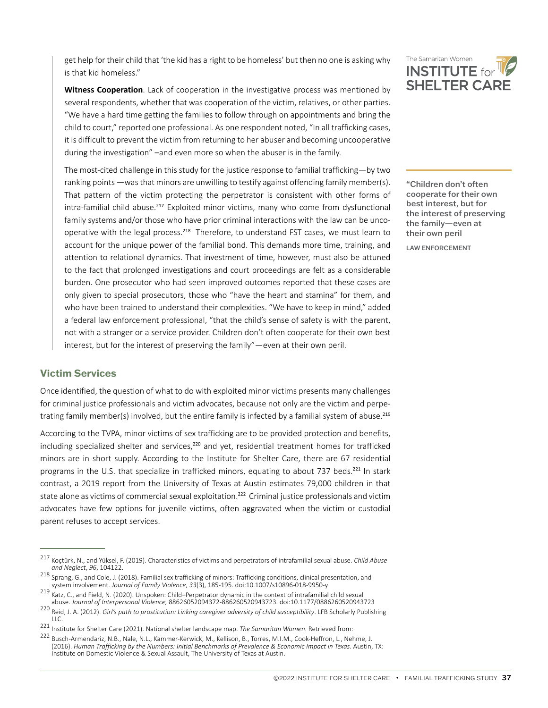<span id="page-36-0"></span>get help for their child that 'the kid has a right to be homeless' but then no one is asking why is that kid homeless."

**Witness Cooperation**. Lack of cooperation in the investigative process was mentioned by several respondents, whether that was cooperation of the victim, relatives, or other parties. "We have a hard time getting the families to follow through on appointments and bring the child to court," reported one professional. As one respondent noted, "In all trafficking cases, it is difficult to prevent the victim from returning to her abuser and becoming uncooperative during the investigation" –and even more so when the abuser is in the family.

The most-cited challenge in this study for the justice response to familial trafficking—by two ranking points —was that minors are unwilling to testify against offending family member(s). That pattern of the victim protecting the perpetrator is consistent with other forms of intra-familial child abuse.<sup>217</sup> Exploited minor victims, many who come from dysfunctional family systems and/or those who have prior criminal interactions with the law can be uncooperative with the legal process.<sup>218</sup> Therefore, to understand FST cases, we must learn to account for the unique power of the familial bond. This demands more time, training, and attention to relational dynamics. That investment of time, however, must also be attuned to the fact that prolonged investigations and court proceedings are felt as a considerable burden. One prosecutor who had seen improved outcomes reported that these cases are only given to special prosecutors, those who "have the heart and stamina" for them, and who have been trained to understand their complexities. "We have to keep in mind," added a federal law enforcement professional, "that the child's sense of safety is with the parent, not with a stranger or a service provider. Children don't often cooperate for their own best interest, but for the interest of preserving the family"—even at their own peril.

## **Victim Services**

Once identified, the question of what to do with exploited minor victims presents many challenges for criminal justice professionals and victim advocates, because not only are the victim and perpetrating family member(s) involved, but the entire family is infected by a familial system of abuse.<sup>219</sup>

According to the TVPA, minor victims of sex trafficking are to be provided protection and benefits, including specialized shelter and services,<sup>220</sup> and yet, residential treatment homes for trafficked minors are in short supply. According to the Institute for Shelter Care, there are 67 residential programs in the U.S. that specialize in trafficked minors, equating to about 737 beds.<sup>221</sup> In stark contrast, a 2019 report from the University of Texas at Austin estimates 79,000 children in that state alone as victims of commercial sexual exploitation.<sup>222</sup> Criminal justice professionals and victim advocates have few options for juvenile victims, often aggravated when the victim or custodial parent refuses to accept services.



"Children don't often cooperate for their own best interest, but for the interest of preserving the family—even at their own peril

LAW ENFORCEMENT

<sup>217</sup> Koçtürk, N., and Yüksel, F. (2019). Characteristics of victims and perpetrators of intrafamilial sexual abuse. *Child Abuse and Neglect*, *96*, 104122.

<sup>218</sup> Sprang, G., and Cole, J. (2018). Familial sex trafficking of minors: Trafficking conditions, clinical presentation, and system involvement. *Journal of Family Violence*, *33*(3), 185-195. doi:10.1007/s10896-018-9950-y

<sup>&</sup>lt;sup>219</sup> Katz, C., and Field, N. (2020). Unspoken: Child–Perpetrator dynamic in the context of intrafamilial child sexual abuse. *Journal of Interpersonal Violence,* 88626052094372-886260520943723. doi:10.1177/0886260520943723

<sup>220</sup> Reid, J. A. (2012). *Girl's path to prostitution: Linking caregiver adversity of child susceptibility*. LFB Scholarly Publishing

<sup>221&</sup>lt;br>Institute for Shelter Care (2021). National shelter landscape map. The Samaritan Women. Retrieved from:<br>222 Busch-Armendariz, N.B., Nale, N.L., Kammer-Kerwick, M., Kellison, B., Torres, M.I.M., Cook-Heffron, L., Nehme, (2016). *Human Trafficking by the Numbers: Initial Benchmarks of Prevalence & Economic Impact in Texas*. Austin, TX: Institute on Domestic Violence & Sexual Assault, The University of Texas at Austin.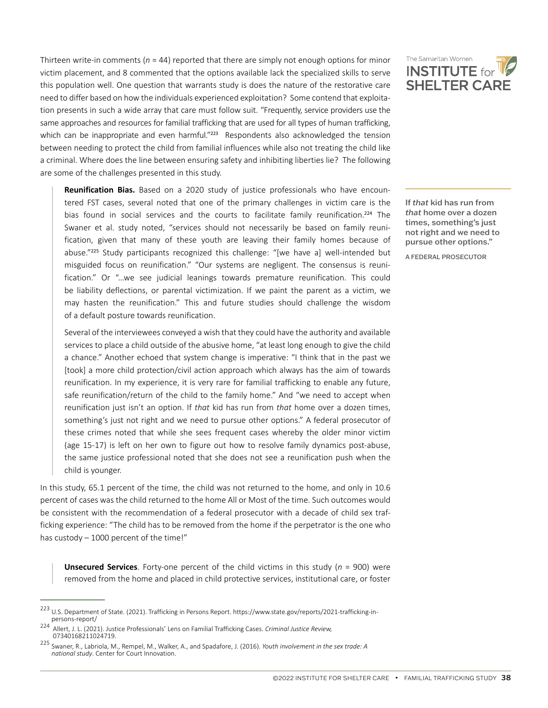Thirteen write-in comments ( $n = 44$ ) reported that there are simply not enough options for minor victim placement, and 8 commented that the options available lack the specialized skills to serve this population well. One question that warrants study is does the nature of the restorative care need to differ based on how the individuals experienced exploitation? Some contend that exploitation presents in such a wide array that care must follow suit. "Frequently, service providers use the same approaches and resources for familial trafficking that are used for all types of human trafficking, which can be inappropriate and even harmful." $223$  Respondents also acknowledged the tension between needing to protect the child from familial influences while also not treating the child like a criminal. Where does the line between ensuring safety and inhibiting liberties lie? The following are some of the challenges presented in this study.

**Reunification Bias.** Based on a 2020 study of justice professionals who have encountered FST cases, several noted that one of the primary challenges in victim care is the bias found in social services and the courts to facilitate family reunification.<sup>224</sup> The Swaner et al. study noted, "services should not necessarily be based on family reunification, given that many of these youth are leaving their family homes because of abuse."<sup>225</sup> Study participants recognized this challenge: "[we have a] well-intended but misguided focus on reunification." "Our systems are negligent. The consensus is reunification." Or "…we see judicial leanings towards premature reunification. This could be liability deflections, or parental victimization. If we paint the parent as a victim, we may hasten the reunification." This and future studies should challenge the wisdom of a default posture towards reunification.

Several of the interviewees conveyed a wish that they could have the authority and available services to place a child outside of the abusive home, "at least long enough to give the child a chance." Another echoed that system change is imperative: "I think that in the past we [took] a more child protection/civil action approach which always has the aim of towards reunification. In my experience, it is very rare for familial trafficking to enable any future, safe reunification/return of the child to the family home." And "we need to accept when reunification just isn't an option. If *that* kid has run from *that* home over a dozen times, something's just not right and we need to pursue other options." A federal prosecutor of these crimes noted that while she sees frequent cases whereby the older minor victim (age 15-17) is left on her own to figure out how to resolve family dynamics post-abuse, the same justice professional noted that she does not see a reunification push when the child is younger.

In this study, 65.1 percent of the time, the child was not returned to the home, and only in 10.6 percent of cases was the child returned to the home All or Most of the time. Such outcomes would be consistent with the recommendation of a federal prosecutor with a decade of child sex trafficking experience: "The child has to be removed from the home if the perpetrator is the one who has custody – 1000 percent of the time!"

**Unsecured Services**. Forty-one percent of the child victims in this study (*n* = 900) were removed from the home and placed in child protective services, institutional care, or foster



If *that* kid has run from *that* home over a dozen times, something's just not right and we need to pursue other options."

A FEDERAL PROSECUTOR

<sup>223</sup> U.S. Department of State. (2021). Trafficking in Persons Report. [https://www.state.gov/reports/2021-trafficking-in-](https://www.state.gov/reports/2021-trafficking-in-persons-report/)

[persons-report/](https://www.state.gov/reports/2021-trafficking-in-persons-report/) 224 Allert, J. L. (2021). Justice Professionals' Lens on Familial Trafficking Cases. *Criminal Justice Review,*  07340168211024719.

<sup>225</sup> Swaner, R., Labriola, M., Rempel, M., Walker, A., and Spadafore, J. (2016). *Youth involvement in the sex trade: A national study*. Center for Court Innovation.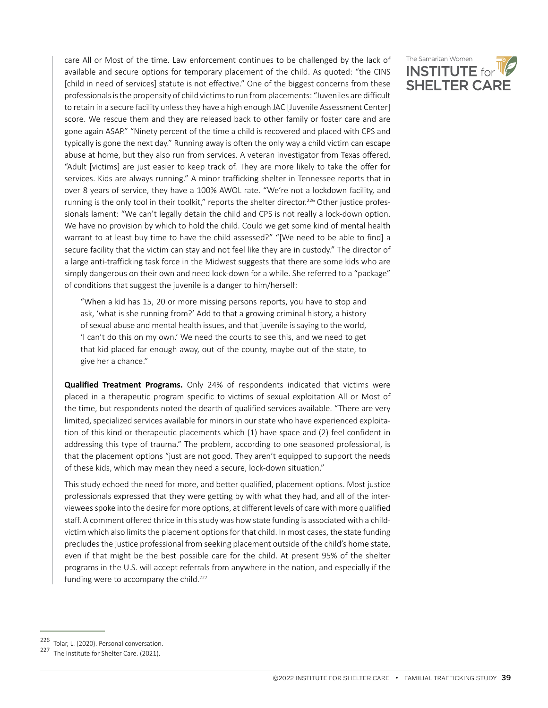care All or Most of the time. Law enforcement continues to be challenged by the lack of available and secure options for temporary placement of the child. As quoted: "the CINS [child in need of services] statute is not effective." One of the biggest concerns from these professionals is the propensity of child victims to run from placements: "Juveniles are difficult to retain in a secure facility unless they have a high enough JAC [Juvenile Assessment Center] score. We rescue them and they are released back to other family or foster care and are gone again ASAP." "Ninety percent of the time a child is recovered and placed with CPS and typically is gone the next day." Running away is often the only way a child victim can escape abuse at home, but they also run from services. A veteran investigator from Texas offered, "Adult [victims] are just easier to keep track of. They are more likely to take the offer for services. Kids are always running." A minor trafficking shelter in Tennessee reports that in over 8 years of service, they have a 100% AWOL rate. "We're not a lockdown facility, and running is the only tool in their toolkit," reports the shelter director.<sup>226</sup> Other justice professionals lament: "We can't legally detain the child and CPS is not really a lock-down option. We have no provision by which to hold the child. Could we get some kind of mental health warrant to at least buy time to have the child assessed?" "[We need to be able to find] a secure facility that the victim can stay and not feel like they are in custody." The director of a large anti-trafficking task force in the Midwest suggests that there are some kids who are simply dangerous on their own and need lock-down for a while. She referred to a "package" of conditions that suggest the juvenile is a danger to him/herself:

"When a kid has 15, 20 or more missing persons reports, you have to stop and ask, 'what is she running from?' Add to that a growing criminal history, a history of sexual abuse and mental health issues, and that juvenile is saying to the world, 'I can't do this on my own.' We need the courts to see this, and we need to get that kid placed far enough away, out of the county, maybe out of the state, to give her a chance."

**Qualified Treatment Programs.** Only 24% of respondents indicated that victims were placed in a therapeutic program specific to victims of sexual exploitation All or Most of the time, but respondents noted the dearth of qualified services available. "There are very limited, specialized services available for minors in our state who have experienced exploitation of this kind or therapeutic placements which (1) have space and (2) feel confident in addressing this type of trauma." The problem, according to one seasoned professional, is that the placement options "just are not good. They aren't equipped to support the needs of these kids, which may mean they need a secure, lock-down situation."

This study echoed the need for more, and better qualified, placement options. Most justice professionals expressed that they were getting by with what they had, and all of the interviewees spoke into the desire for more options, at different levels of care with more qualified staff. A comment offered thrice in this study was how state funding is associated with a childvictim which also limits the placement options for that child. In most cases, the state funding precludes the justice professional from seeking placement outside of the child's home state, even if that might be the best possible care for the child. At present 95% of the shelter programs in the U.S. will accept referrals from anywhere in the nation, and especially if the funding were to accompany the child.<sup>227</sup>



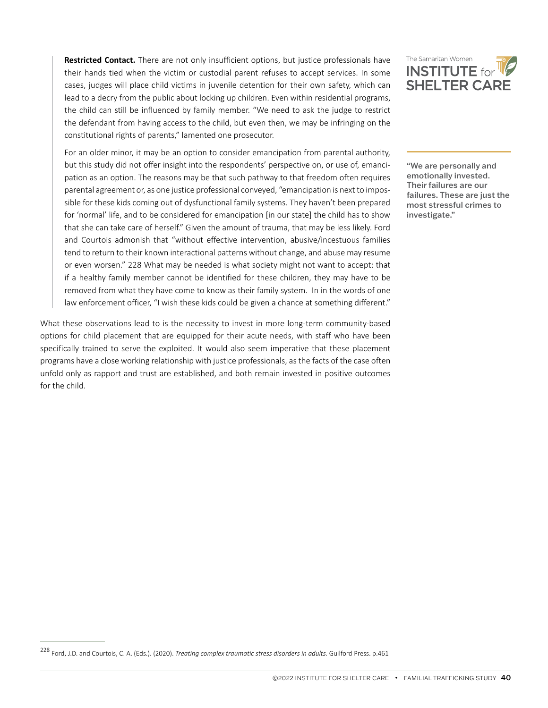**Restricted Contact.** There are not only insufficient options, but justice professionals have their hands tied when the victim or custodial parent refuses to accept services. In some cases, judges will place child victims in juvenile detention for their own safety, which can lead to a decry from the public about locking up children. Even within residential programs, the child can still be influenced by family member. "We need to ask the judge to restrict the defendant from having access to the child, but even then, we may be infringing on the constitutional rights of parents," lamented one prosecutor.

For an older minor, it may be an option to consider emancipation from parental authority, but this study did not offer insight into the respondents' perspective on, or use of, emancipation as an option. The reasons may be that such pathway to that freedom often requires parental agreement or, as one justice professional conveyed, "emancipation is next to impossible for these kids coming out of dysfunctional family systems. They haven't been prepared for 'normal' life, and to be considered for emancipation [in our state] the child has to show that she can take care of herself." Given the amount of trauma, that may be less likely. Ford and Courtois admonish that "without effective intervention, abusive/incestuous families tend to return to their known interactional patterns without change, and abuse may resume or even worsen." 228 What may be needed is what society might not want to accept: that if a healthy family member cannot be identified for these children, they may have to be removed from what they have come to know as their family system. In in the words of one law enforcement officer, "I wish these kids could be given a chance at something different."

What these observations lead to is the necessity to invest in more long-term community-based options for child placement that are equipped for their acute needs, with staff who have been specifically trained to serve the exploited. It would also seem imperative that these placement programs have a close working relationship with justice professionals, as the facts of the case often unfold only as rapport and trust are established, and both remain invested in positive outcomes for the child.



"We are personally and emotionally invested. Their failures are our failures. These are just the most stressful crimes to investigate."

<sup>228</sup> Ford, J.D. and Courtois, C. A. (Eds.). (2020). *Treating complex traumatic stress disorders in adults.* Guilford Press. p.461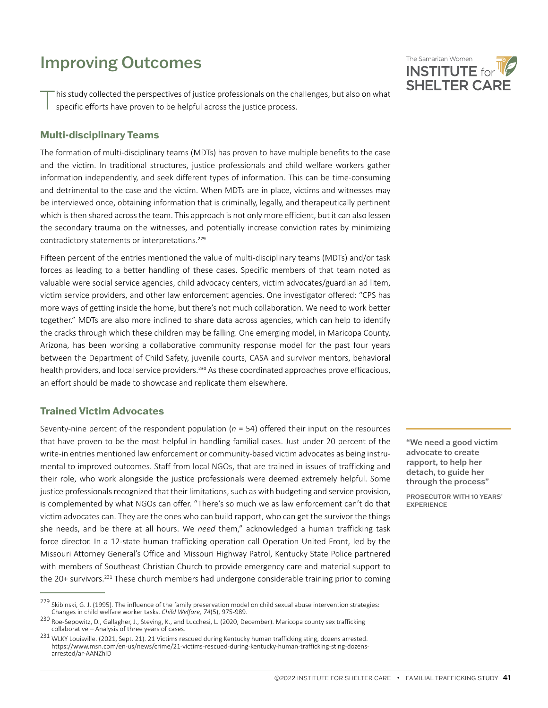# <span id="page-40-0"></span>Improving Outcomes



his study collected the perspectives of justice professionals on the challenges, but also on what specific efforts have proven to be helpful across the justice process.

## **Multi-disciplinary Teams**

The formation of multi-disciplinary teams (MDTs) has proven to have multiple benefits to the case and the victim. In traditional structures, justice professionals and child welfare workers gather information independently, and seek different types of information. This can be time-consuming and detrimental to the case and the victim. When MDTs are in place, victims and witnesses may be interviewed once, obtaining information that is criminally, legally, and therapeutically pertinent which is then shared across the team. This approach is not only more efficient, but it can also lessen the secondary trauma on the witnesses, and potentially increase conviction rates by minimizing contradictory statements or interpretations.<sup>229</sup>

Fifteen percent of the entries mentioned the value of multi-disciplinary teams (MDTs) and/or task forces as leading to a better handling of these cases. Specific members of that team noted as valuable were social service agencies, child advocacy centers, victim advocates/guardian ad litem, victim service providers, and other law enforcement agencies. One investigator offered: "CPS has more ways of getting inside the home, but there's not much collaboration. We need to work better together." MDTs are also more inclined to share data across agencies, which can help to identify the cracks through which these children may be falling. One emerging model, in Maricopa County, Arizona, has been working a collaborative community response model for the past four years between the Department of Child Safety, juvenile courts, CASA and survivor mentors, behavioral health providers, and local service providers.<sup>230</sup> As these coordinated approaches prove efficacious, an effort should be made to showcase and replicate them elsewhere.

## **Trained Victim Advocates**

Seventy-nine percent of the respondent population (*n* = 54) offered their input on the resources that have proven to be the most helpful in handling familial cases. Just under 20 percent of the write-in entries mentioned law enforcement or community-based victim advocates as being instrumental to improved outcomes. Staff from local NGOs, that are trained in issues of trafficking and their role, who work alongside the justice professionals were deemed extremely helpful. Some justice professionals recognized that their limitations, such as with budgeting and service provision, is complemented by what NGOs can offer. "There's so much we as law enforcement can't do that victim advocates can. They are the ones who can build rapport, who can get the survivor the things she needs, and be there at all hours. We *need* them," acknowledged a human trafficking task force director. In a 12-state human trafficking operation call Operation United Front, led by the Missouri Attorney General's Office and Missouri Highway Patrol, Kentucky State Police partnered with members of Southeast Christian Church to provide emergency care and material support to the 20+ survivors.<sup>231</sup> These church members had undergone considerable training prior to coming

"We need a good victim advocate to create rapport, to help her detach, to guide her through the process"

PROSECUTOR WITH 10 YEARS' **EXPERIENCE** 

Skibinski, G. J. (1995). The influence of the family preservation model on child sexual abuse intervention strategies: Changes in child welfare worker tasks. *Child Welfare, 74*(5), 975-989.

<sup>230</sup> Roe-Sepowitz, D., Gallagher, J., Steving, K., and Lucchesi, L. (2020, December). Maricopa county sex trafficking collaborative – Analysis of three years of cases.

<sup>231</sup> WLKY Louisville. (2021, Sept. 21). 21 Victims rescued during Kentucky human trafficking sting, dozens arrested. https://www.msn.com/en-us/news/crime/21-victims-rescued-during-kentucky-human-trafficking-sting-dozensarrested/ar-AANZhlD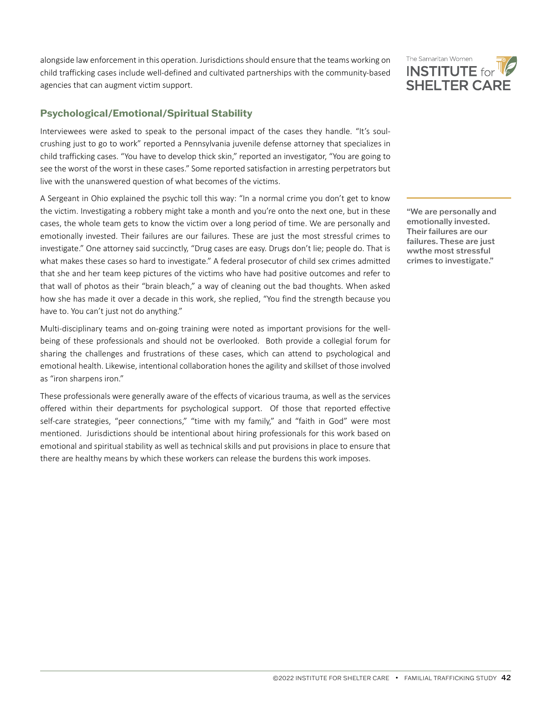<span id="page-41-0"></span>alongside law enforcement in this operation. Jurisdictions should ensure that the teams working on child trafficking cases include well-defined and cultivated partnerships with the community-based agencies that can augment victim support.

# **Psychological/Emotional/Spiritual Stability**

Interviewees were asked to speak to the personal impact of the cases they handle. "It's soulcrushing just to go to work" reported a Pennsylvania juvenile defense attorney that specializes in child trafficking cases. "You have to develop thick skin," reported an investigator, "You are going to see the worst of the worst in these cases." Some reported satisfaction in arresting perpetrators but live with the unanswered question of what becomes of the victims.

A Sergeant in Ohio explained the psychic toll this way: "In a normal crime you don't get to know the victim. Investigating a robbery might take a month and you're onto the next one, but in these cases, the whole team gets to know the victim over a long period of time. We are personally and emotionally invested. Their failures are our failures. These are just the most stressful crimes to investigate." One attorney said succinctly, "Drug cases are easy. Drugs don't lie; people do. That is what makes these cases so hard to investigate." A federal prosecutor of child sex crimes admitted that she and her team keep pictures of the victims who have had positive outcomes and refer to that wall of photos as their "brain bleach," a way of cleaning out the bad thoughts. When asked how she has made it over a decade in this work, she replied, "You find the strength because you have to. You can't just not do anything."

Multi-disciplinary teams and on-going training were noted as important provisions for the wellbeing of these professionals and should not be overlooked. Both provide a collegial forum for sharing the challenges and frustrations of these cases, which can attend to psychological and emotional health. Likewise, intentional collaboration hones the agility and skillset of those involved as "iron sharpens iron."

These professionals were generally aware of the effects of vicarious trauma, as well as the services offered within their departments for psychological support. Of those that reported effective self-care strategies, "peer connections," "time with my family," and "faith in God" were most mentioned. Jurisdictions should be intentional about hiring professionals for this work based on emotional and spiritual stability as well as technical skills and put provisions in place to ensure that there are healthy means by which these workers can release the burdens this work imposes.



"We are personally and emotionally invested. Their failures are our failures. These are just wwthe most stressful crimes to investigate."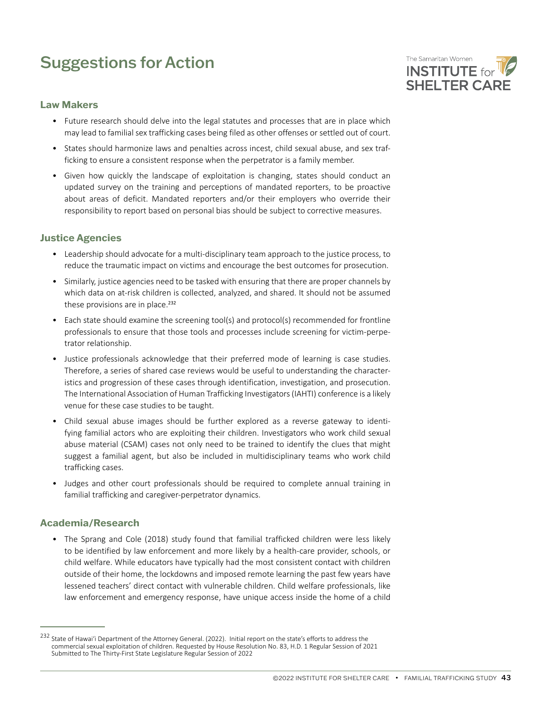# <span id="page-42-0"></span>Suggestions for Action



### **Law Makers**

- Future research should delve into the legal statutes and processes that are in place which may lead to familial sex trafficking cases being filed as other offenses or settled out of court.
- States should harmonize laws and penalties across incest, child sexual abuse, and sex trafficking to ensure a consistent response when the perpetrator is a family member.
- Given how quickly the landscape of exploitation is changing, states should conduct an updated survey on the training and perceptions of mandated reporters, to be proactive about areas of deficit. Mandated reporters and/or their employers who override their responsibility to report based on personal bias should be subject to corrective measures.

### **Justice Agencies**

- Leadership should advocate for a multi-disciplinary team approach to the justice process, to reduce the traumatic impact on victims and encourage the best outcomes for prosecution.
- Similarly, justice agencies need to be tasked with ensuring that there are proper channels by which data on at-risk children is collected, analyzed, and shared. It should not be assumed these provisions are in place.<sup>232</sup>
- Each state should examine the screening tool(s) and protocol(s) recommended for frontline professionals to ensure that those tools and processes include screening for victim-perpetrator relationship.
- Justice professionals acknowledge that their preferred mode of learning is case studies. Therefore, a series of shared case reviews would be useful to understanding the characteristics and progression of these cases through identification, investigation, and prosecution. The International Association of Human Trafficking Investigators (IAHTI) conference is a likely venue for these case studies to be taught.
- Child sexual abuse images should be further explored as a reverse gateway to identifying familial actors who are exploiting their children. Investigators who work child sexual abuse material (CSAM) cases not only need to be trained to identify the clues that might suggest a familial agent, but also be included in multidisciplinary teams who work child trafficking cases.
- Judges and other court professionals should be required to complete annual training in familial trafficking and caregiver-perpetrator dynamics.

## **Academia/Research**

• The Sprang and Cole (2018) study found that familial trafficked children were less likely to be identified by law enforcement and more likely by a health-care provider, schools, or child welfare. While educators have typically had the most consistent contact with children outside of their home, the lockdowns and imposed remote learning the past few years have lessened teachers' direct contact with vulnerable children. Child welfare professionals, like law enforcement and emergency response, have unique access inside the home of a child

<sup>&</sup>lt;sup>232</sup> State of Hawai'i Department of the Attorney General. (2022). Initial report on the state's efforts to address the commercial sexual exploitation of children. Requested by House Resolution No. 83, H.D. 1 Regular Session of 2021 Submitted to The Thirty-First State Legislature Regular Session of 2022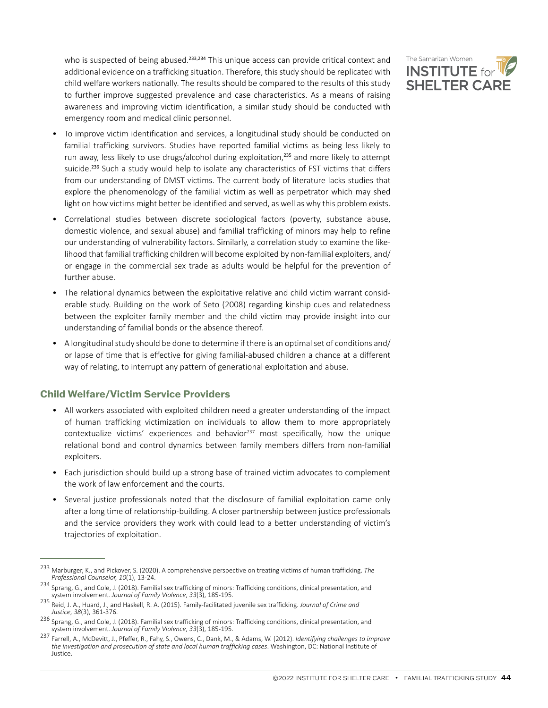<span id="page-43-0"></span>who is suspected of being abused.<sup>233,234</sup> This unique access can provide critical context and additional evidence on a trafficking situation. Therefore, this study should be replicated with child welfare workers nationally. The results should be compared to the results of this study to further improve suggested prevalence and case characteristics. As a means of raising awareness and improving victim identification, a similar study should be conducted with emergency room and medical clinic personnel.



- To improve victim identification and services, a longitudinal study should be conducted on familial trafficking survivors. Studies have reported familial victims as being less likely to run away, less likely to use drugs/alcohol during exploitation,<sup>235</sup> and more likely to attempt suicide.<sup>236</sup> Such a study would help to isolate any characteristics of FST victims that differs from our understanding of DMST victims. The current body of literature lacks studies that explore the phenomenology of the familial victim as well as perpetrator which may shed light on how victims might better be identified and served, as well as why this problem exists.
- Correlational studies between discrete sociological factors (poverty, substance abuse, domestic violence, and sexual abuse) and familial trafficking of minors may help to refine our understanding of vulnerability factors. Similarly, a correlation study to examine the likelihood that familial trafficking children will become exploited by non-familial exploiters, and/ or engage in the commercial sex trade as adults would be helpful for the prevention of further abuse.
- The relational dynamics between the exploitative relative and child victim warrant considerable study. Building on the work of Seto (2008) regarding kinship cues and relatedness between the exploiter family member and the child victim may provide insight into our understanding of familial bonds or the absence thereof.
- A longitudinal study should be done to determine if there is an optimal set of conditions and/ or lapse of time that is effective for giving familial-abused children a chance at a different way of relating, to interrupt any pattern of generational exploitation and abuse.

## **Child Welfare/Victim Service Providers**

- All workers associated with exploited children need a greater understanding of the impact of human trafficking victimization on individuals to allow them to more appropriately contextualize victims' experiences and behavior $237$  most specifically, how the unique relational bond and control dynamics between family members differs from non-familial exploiters.
- Each jurisdiction should build up a strong base of trained victim advocates to complement the work of law enforcement and the courts.
- Several justice professionals noted that the disclosure of familial exploitation came only after a long time of relationship-building. A closer partnership between justice professionals and the service providers they work with could lead to a better understanding of victim's trajectories of exploitation.

<sup>233</sup> Marburger, K., and Pickover, S. (2020). A comprehensive perspective on treating victims of human trafficking. *The Professional Counselor, 10*(1), 13-24.

<sup>&</sup>lt;sup>234</sup> Sprang, G., and Cole, J. (2018). Familial sex trafficking of minors: Trafficking conditions, clinical presentation, and system involvement. *Journal of Family Violence*, *33*(3), 185-195.

<sup>235</sup> Reid, J. A., Huard, J., and Haskell, R. A. (2015). Family-facilitated juvenile sex trafficking. *Journal of Crime and Justice*, *38*(3), 361-376.

<sup>236</sup> Sprang, G., and Cole, J. (2018). Familial sex trafficking of minors: Trafficking conditions, clinical presentation, and system involvement. *Journal of Family Violence*, *33*(3), 185-195.

<sup>237</sup> Farrell, A., McDevitt, J., Pfeffer, R., Fahy, S., Owens, C., Dank, M., & Adams, W. (2012). *Identifying challenges to improve the investigation and prosecution of state and local human trafficking cases*. Washington, DC: National Institute of Justice.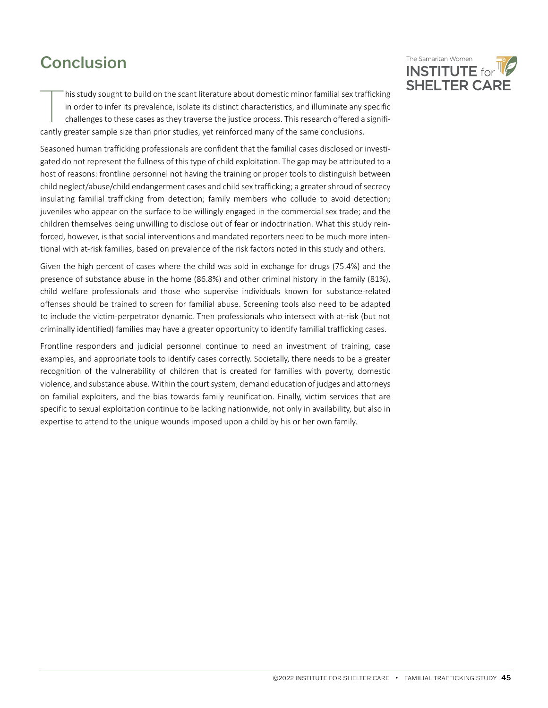# <span id="page-44-0"></span>**Conclusion**



This study sought to build on the scant literature about domestic minor familial sex trafficking<br>in order to infer its prevalence, isolate its distinct characteristics, and illuminate any specific<br>challenges to these cases in order to infer its prevalence, isolate its distinct characteristics, and illuminate any specific challenges to these cases as they traverse the justice process. This research offered a significantly greater sample size than prior studies, yet reinforced many of the same conclusions.

Seasoned human trafficking professionals are confident that the familial cases disclosed or investigated do not represent the fullness of this type of child exploitation. The gap may be attributed to a host of reasons: frontline personnel not having the training or proper tools to distinguish between child neglect/abuse/child endangerment cases and child sex trafficking; a greater shroud of secrecy insulating familial trafficking from detection; family members who collude to avoid detection; juveniles who appear on the surface to be willingly engaged in the commercial sex trade; and the children themselves being unwilling to disclose out of fear or indoctrination. What this study reinforced, however, is that social interventions and mandated reporters need to be much more intentional with at-risk families, based on prevalence of the risk factors noted in this study and others.

Given the high percent of cases where the child was sold in exchange for drugs (75.4%) and the presence of substance abuse in the home (86.8%) and other criminal history in the family (81%), child welfare professionals and those who supervise individuals known for substance-related offenses should be trained to screen for familial abuse. Screening tools also need to be adapted to include the victim-perpetrator dynamic. Then professionals who intersect with at-risk (but not criminally identified) families may have a greater opportunity to identify familial trafficking cases.

Frontline responders and judicial personnel continue to need an investment of training, case examples, and appropriate tools to identify cases correctly. Societally, there needs to be a greater recognition of the vulnerability of children that is created for families with poverty, domestic violence, and substance abuse. Within the court system, demand education of judges and attorneys on familial exploiters, and the bias towards family reunification. Finally, victim services that are specific to sexual exploitation continue to be lacking nationwide, not only in availability, but also in expertise to attend to the unique wounds imposed upon a child by his or her own family.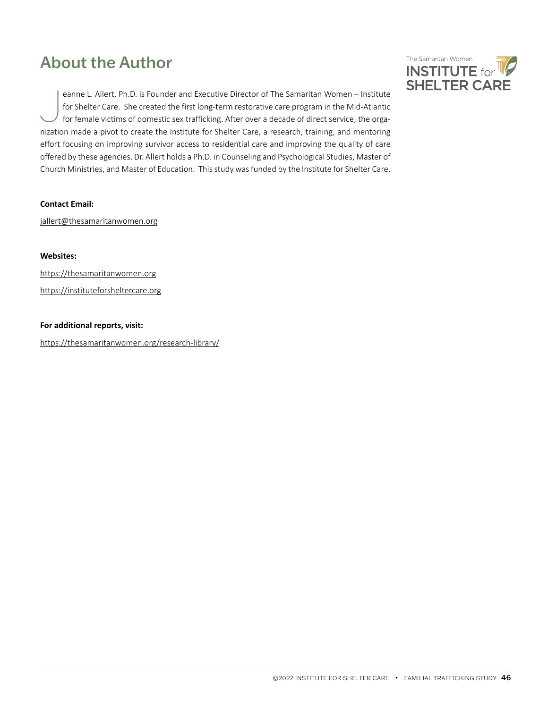# <span id="page-45-0"></span>About the Author



J eanne L. Allert, Ph.D. is Founder and Executive Director of The Samaritan Women – Institute for Shelter Care. She created the first long-term restorative care program in the Mid-Atlantic for female victims of domestic sex trafficking. After over a decade of direct service, the organization made a pivot to create the Institute for Shelter Care, a research, training, and mentoring effort focusing on improving survivor access to residential care and improving the quality of care offered by these agencies. Dr. Allert holds a Ph.D. in Counseling and Psychological Studies, Master of Church Ministries, and Master of Education. This study was funded by the Institute for Shelter Care.

### **Contact Email:**

[jallert@thesamaritanwomen.org](mailto:jallert@thesamaritanwomen.org)

**Websites:** 

<https://thesamaritanwomen.org> <https://instituteforsheltercare.org>

#### **For additional reports, visit:**

<https://thesamaritanwomen.org/research-library/>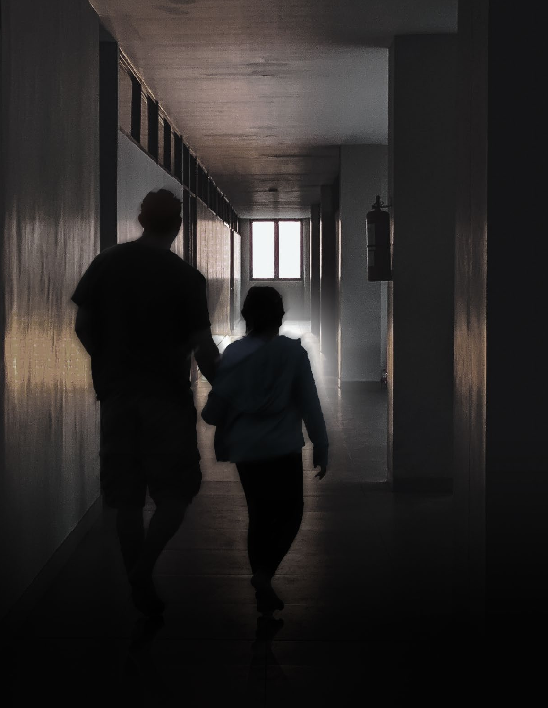